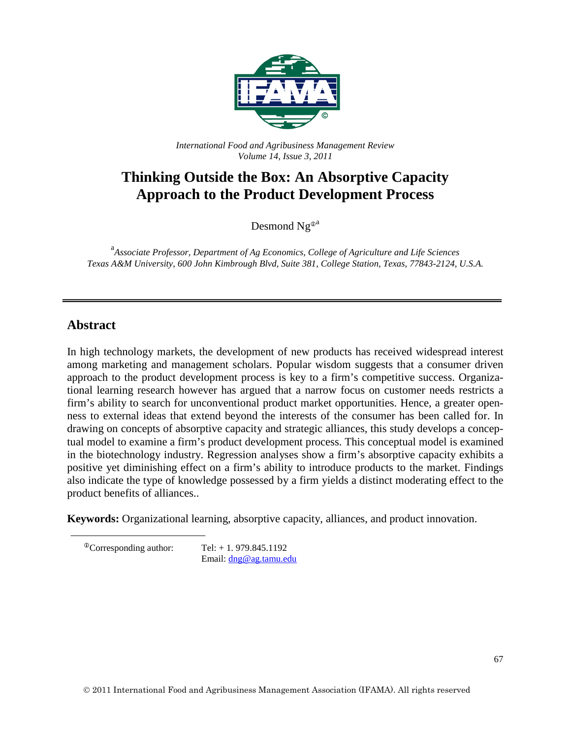

*International Food and Agribusiness Management Review Volume 14, Issue 3, 2011*

# **Thinking Outside the Box: An Absorptive Capacity Approach to the Product Development Process**

Desmond  $Ng^{0a}$ 

a *Associate Professor, Department of Ag Economics, College of Agriculture and Life Sciences Texas A&M University, 600 John Kimbrough Blvd, Suite 381, College Station, Texas, 77843-2124, U.S.A.*

## **Abstract**

In high technology markets, the development of new products has received widespread interest among marketing and management scholars. Popular wisdom suggests that a consumer driven approach to the product development process is key to a firm's competitive success. Organizational learning research however has argued that a narrow focus on customer needs restricts a firm's ability to search for unconventional product market opportunities. Hence, a greater openness to external ideas that extend beyond the interests of the consumer has been called for. In drawing on concepts of absorptive capacity and strategic alliances, this study develops a conceptual model to examine a firm's product development process. This conceptual model is examined in the biotechnology industry. Regression analyses show a firm's absorptive capacity exhibits a positive yet diminishing effect on a firm's ability to introduce products to the market. Findings also indicate the type of knowledge possessed by a firm yields a distinct moderating effect to the product benefits of alliances..

**Keywords:** Organizational learning, absorptive capacity, alliances, and product innovation.

<span id="page-0-0"></span> $^{\circ}$ Corresponding author: Tel: + 1.979.845.1192 Email: [dng@ag.tamu.edu](mailto:dng@ag.tamu.edu)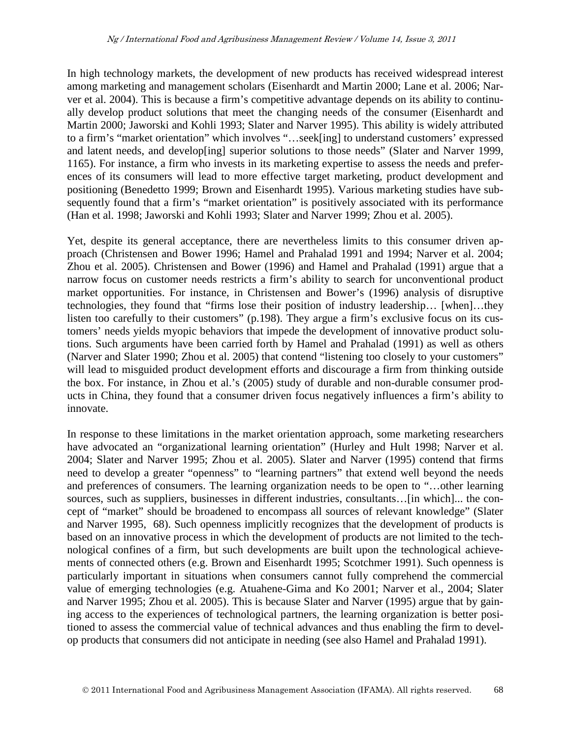In high technology markets, the development of new products has received widespread interest among marketing and management scholars (Eisenhardt and Martin 2000; Lane et al. 2006; Narver et al. 2004). This is because a firm's competitive advantage depends on its ability to continually develop product solutions that meet the changing needs of the consumer (Eisenhardt and Martin 2000; Jaworski and Kohli 1993; Slater and Narver 1995). This ability is widely attributed to a firm's "market orientation" which involves "…seek[ing] to understand customers' expressed and latent needs, and develop[ing] superior solutions to those needs" (Slater and Narver 1999, 1165). For instance, a firm who invests in its marketing expertise to assess the needs and preferences of its consumers will lead to more effective target marketing, product development and positioning (Benedetto 1999; Brown and Eisenhardt 1995). Various marketing studies have subsequently found that a firm's "market orientation" is positively associated with its performance (Han et al. 1998; Jaworski and Kohli 1993; Slater and Narver 1999; Zhou et al. 2005).

Yet, despite its general acceptance, there are nevertheless limits to this consumer driven approach (Christensen and Bower 1996; Hamel and Prahalad 1991 and 1994; Narver et al. 2004; Zhou et al. 2005). Christensen and Bower (1996) and Hamel and Prahalad (1991) argue that a narrow focus on customer needs restricts a firm's ability to search for unconventional product market opportunities. For instance, in Christensen and Bower's (1996) analysis of disruptive technologies, they found that "firms lose their position of industry leadership… [when]…they listen too carefully to their customers" (p.198). They argue a firm's exclusive focus on its customers' needs yields myopic behaviors that impede the development of innovative product solutions. Such arguments have been carried forth by Hamel and Prahalad (1991) as well as others (Narver and Slater 1990; Zhou et al. 2005) that contend "listening too closely to your customers" will lead to misguided product development efforts and discourage a firm from thinking outside the box. For instance, in Zhou et al.'s (2005) study of durable and non-durable consumer products in China, they found that a consumer driven focus negatively influences a firm's ability to innovate.

In response to these limitations in the market orientation approach, some marketing researchers have advocated an "organizational learning orientation" (Hurley and Hult 1998; Narver et al. 2004; Slater and Narver 1995; Zhou et al. 2005). Slater and Narver (1995) contend that firms need to develop a greater "openness" to "learning partners" that extend well beyond the needs and preferences of consumers. The learning organization needs to be open to "…other learning sources, such as suppliers, businesses in different industries, consultants... [in which]... the concept of "market" should be broadened to encompass all sources of relevant knowledge" (Slater and Narver 1995, 68). Such openness implicitly recognizes that the development of products is based on an innovative process in which the development of products are not limited to the technological confines of a firm, but such developments are built upon the technological achievements of connected others (e.g. Brown and Eisenhardt 1995; Scotchmer 1991). Such openness is particularly important in situations when consumers cannot fully comprehend the commercial value of emerging technologies (e.g. Atuahene-Gima and Ko 2001; Narver et al., 2004; Slater and Narver 1995; Zhou et al. 2005). This is because Slater and Narver (1995) argue that by gaining access to the experiences of technological partners, the learning organization is better positioned to assess the commercial value of technical advances and thus enabling the firm to develop products that consumers did not anticipate in needing (see also Hamel and Prahalad 1991).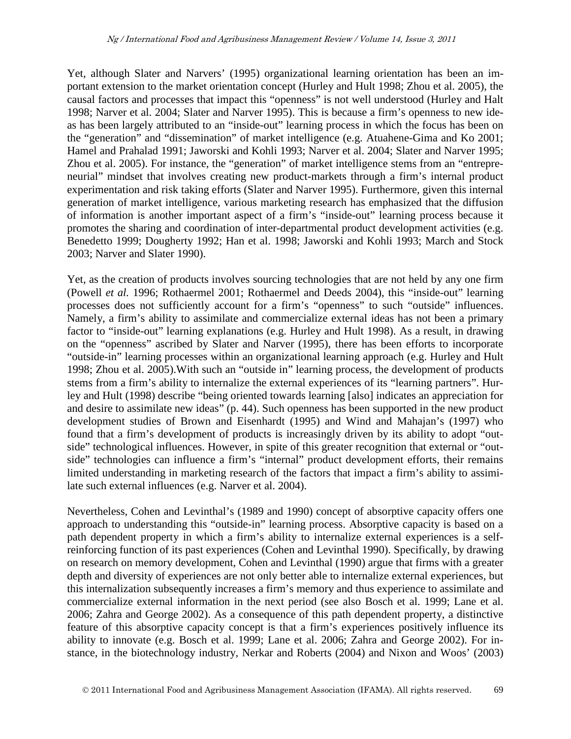Yet, although Slater and Narvers' (1995) organizational learning orientation has been an important extension to the market orientation concept (Hurley and Hult 1998; Zhou et al. 2005), the causal factors and processes that impact this "openness" is not well understood (Hurley and Halt 1998; Narver et al. 2004; Slater and Narver 1995). This is because a firm's openness to new ideas has been largely attributed to an "inside-out" learning process in which the focus has been on the "generation" and "dissemination" of market intelligence (e.g. Atuahene-Gima and Ko 2001; Hamel and Prahalad 1991; Jaworski and Kohli 1993; Narver et al. 2004; Slater and Narver 1995; Zhou et al. 2005). For instance, the "generation" of market intelligence stems from an "entrepreneurial" mindset that involves creating new product-markets through a firm's internal product experimentation and risk taking efforts (Slater and Narver 1995). Furthermore, given this internal generation of market intelligence, various marketing research has emphasized that the diffusion of information is another important aspect of a firm's "inside-out" learning process because it promotes the sharing and coordination of inter-departmental product development activities (e.g. Benedetto 1999; Dougherty 1992; Han et al. 1998; Jaworski and Kohli 1993; March and Stock 2003; Narver and Slater 1990).

Yet, as the creation of products involves sourcing technologies that are not held by any one firm (Powell *et al.* 1996; Rothaermel 2001; Rothaermel and Deeds 2004), this "inside-out" learning processes does not sufficiently account for a firm's "openness" to such "outside" influences. Namely, a firm's ability to assimilate and commercialize external ideas has not been a primary factor to "inside-out" learning explanations (e.g. Hurley and Hult 1998). As a result, in drawing on the "openness" ascribed by Slater and Narver (1995), there has been efforts to incorporate "outside-in" learning processes within an organizational learning approach (e.g. Hurley and Hult 1998; Zhou et al. 2005).With such an "outside in" learning process, the development of products stems from a firm's ability to internalize the external experiences of its "learning partners". Hurley and Hult (1998) describe "being oriented towards learning [also] indicates an appreciation for and desire to assimilate new ideas" (p. 44). Such openness has been supported in the new product development studies of Brown and Eisenhardt (1995) and Wind and Mahajan's (1997) who found that a firm's development of products is increasingly driven by its ability to adopt "outside" technological influences. However, in spite of this greater recognition that external or "outside" technologies can influence a firm's "internal" product development efforts, their remains limited understanding in marketing research of the factors that impact a firm's ability to assimilate such external influences (e.g. Narver et al. 2004).

Nevertheless, Cohen and Levinthal's (1989 and 1990) concept of absorptive capacity offers one approach to understanding this "outside-in" learning process. Absorptive capacity is based on a path dependent property in which a firm's ability to internalize external experiences is a selfreinforcing function of its past experiences (Cohen and Levinthal 1990). Specifically, by drawing on research on memory development, Cohen and Levinthal (1990) argue that firms with a greater depth and diversity of experiences are not only better able to internalize external experiences, but this internalization subsequently increases a firm's memory and thus experience to assimilate and commercialize external information in the next period (see also Bosch et al. 1999; Lane et al. 2006; Zahra and George 2002). As a consequence of this path dependent property, a distinctive feature of this absorptive capacity concept is that a firm's experiences positively influence its ability to innovate (e.g. Bosch et al. 1999; Lane et al. 2006; Zahra and George 2002). For instance, in the biotechnology industry, Nerkar and Roberts (2004) and Nixon and Woos' (2003)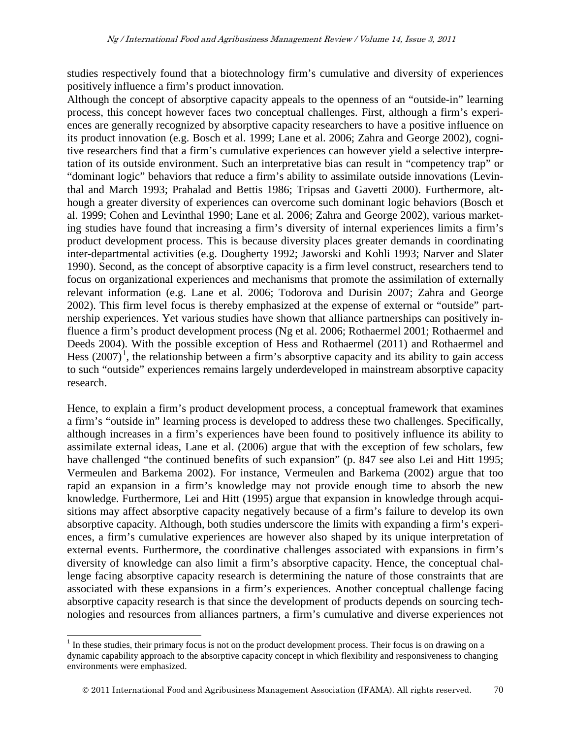studies respectively found that a biotechnology firm's cumulative and diversity of experiences positively influence a firm's product innovation.

Although the concept of absorptive capacity appeals to the openness of an "outside-in" learning process, this concept however faces two conceptual challenges. First, although a firm's experiences are generally recognized by absorptive capacity researchers to have a positive influence on its product innovation (e.g. Bosch et al. 1999; Lane et al. 2006; Zahra and George 2002), cognitive researchers find that a firm's cumulative experiences can however yield a selective interpretation of its outside environment. Such an interpretative bias can result in "competency trap" or "dominant logic" behaviors that reduce a firm's ability to assimilate outside innovations (Levinthal and March 1993; Prahalad and Bettis 1986; Tripsas and Gavetti 2000). Furthermore, although a greater diversity of experiences can overcome such dominant logic behaviors (Bosch et al. 1999; Cohen and Levinthal 1990; Lane et al. 2006; Zahra and George 2002), various marketing studies have found that increasing a firm's diversity of internal experiences limits a firm's product development process. This is because diversity places greater demands in coordinating inter-departmental activities (e.g. Dougherty 1992; Jaworski and Kohli 1993; Narver and Slater 1990). Second, as the concept of absorptive capacity is a firm level construct, researchers tend to focus on organizational experiences and mechanisms that promote the assimilation of externally relevant information (e.g. Lane et al. 2006; Todorova and Durisin 2007; Zahra and George 2002). This firm level focus is thereby emphasized at the expense of external or "outside" partnership experiences. Yet various studies have shown that alliance partnerships can positively influence a firm's product development process (Ng et al. 2006; Rothaermel 2001; Rothaermel and Deeds 2004). With the possible exception of Hess and Rothaermel (2011) and Rothaermel and Hess  $(2007)^1$  $(2007)^1$ , the relationship between a firm's absorptive capacity and its ability to gain access to such "outside" experiences remains largely underdeveloped in mainstream absorptive capacity research.

Hence, to explain a firm's product development process, a conceptual framework that examines a firm's "outside in" learning process is developed to address these two challenges. Specifically, although increases in a firm's experiences have been found to positively influence its ability to assimilate external ideas, Lane et al. (2006) argue that with the exception of few scholars, few have challenged "the continued benefits of such expansion" (p. 847 see also Lei and Hitt 1995; Vermeulen and Barkema 2002). For instance, Vermeulen and Barkema (2002) argue that too rapid an expansion in a firm's knowledge may not provide enough time to absorb the new knowledge. Furthermore, Lei and Hitt (1995) argue that expansion in knowledge through acquisitions may affect absorptive capacity negatively because of a firm's failure to develop its own absorptive capacity. Although, both studies underscore the limits with expanding a firm's experiences, a firm's cumulative experiences are however also shaped by its unique interpretation of external events. Furthermore, the coordinative challenges associated with expansions in firm's diversity of knowledge can also limit a firm's absorptive capacity. Hence, the conceptual challenge facing absorptive capacity research is determining the nature of those constraints that are associated with these expansions in a firm's experiences. Another conceptual challenge facing absorptive capacity research is that since the development of products depends on sourcing technologies and resources from alliances partners, a firm's cumulative and diverse experiences not

<span id="page-3-0"></span> $1$  In these studies, their primary focus is not on the product development process. Their focus is on drawing on a dynamic capability approach to the absorptive capacity concept in which flexibility and responsiveness to changing environments were emphasized.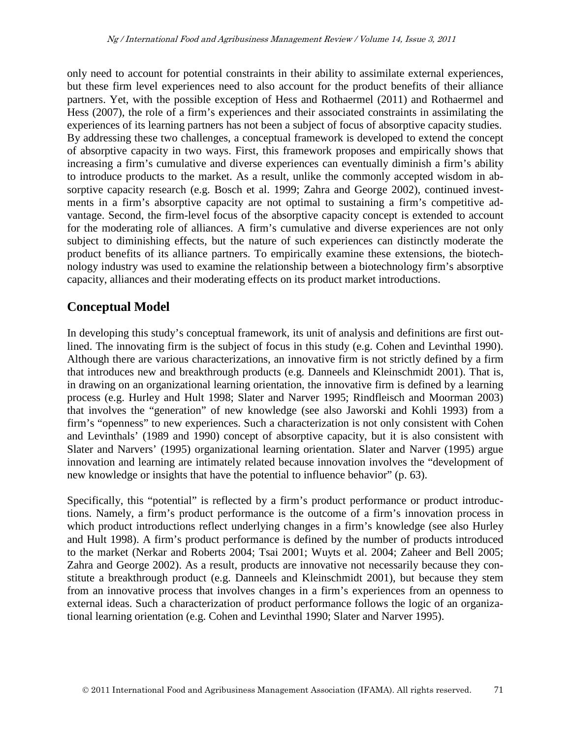only need to account for potential constraints in their ability to assimilate external experiences, but these firm level experiences need to also account for the product benefits of their alliance partners. Yet, with the possible exception of Hess and Rothaermel (2011) and Rothaermel and Hess (2007), the role of a firm's experiences and their associated constraints in assimilating the experiences of its learning partners has not been a subject of focus of absorptive capacity studies. By addressing these two challenges, a conceptual framework is developed to extend the concept of absorptive capacity in two ways. First, this framework proposes and empirically shows that increasing a firm's cumulative and diverse experiences can eventually diminish a firm's ability to introduce products to the market. As a result, unlike the commonly accepted wisdom in absorptive capacity research (e.g. Bosch et al. 1999; Zahra and George 2002), continued investments in a firm's absorptive capacity are not optimal to sustaining a firm's competitive advantage. Second, the firm-level focus of the absorptive capacity concept is extended to account for the moderating role of alliances. A firm's cumulative and diverse experiences are not only subject to diminishing effects, but the nature of such experiences can distinctly moderate the product benefits of its alliance partners. To empirically examine these extensions, the biotechnology industry was used to examine the relationship between a biotechnology firm's absorptive capacity, alliances and their moderating effects on its product market introductions.

## **Conceptual Model**

In developing this study's conceptual framework, its unit of analysis and definitions are first outlined. The innovating firm is the subject of focus in this study (e.g. Cohen and Levinthal 1990). Although there are various characterizations, an innovative firm is not strictly defined by a firm that introduces new and breakthrough products (e.g. Danneels and Kleinschmidt 2001). That is, in drawing on an organizational learning orientation, the innovative firm is defined by a learning process (e.g. Hurley and Hult 1998; Slater and Narver 1995; Rindfleisch and Moorman 2003) that involves the "generation" of new knowledge (see also Jaworski and Kohli 1993) from a firm's "openness" to new experiences. Such a characterization is not only consistent with Cohen and Levinthals' (1989 and 1990) concept of absorptive capacity, but it is also consistent with Slater and Narvers' (1995) organizational learning orientation. Slater and Narver (1995) argue innovation and learning are intimately related because innovation involves the "development of new knowledge or insights that have the potential to influence behavior" (p. 63).

Specifically, this "potential" is reflected by a firm's product performance or product introductions. Namely, a firm's product performance is the outcome of a firm's innovation process in which product introductions reflect underlying changes in a firm's knowledge (see also Hurley and Hult 1998). A firm's product performance is defined by the number of products introduced to the market (Nerkar and Roberts 2004; Tsai 2001; Wuyts et al. 2004; Zaheer and Bell 2005; Zahra and George 2002). As a result, products are innovative not necessarily because they constitute a breakthrough product (e.g. Danneels and Kleinschmidt 2001), but because they stem from an innovative process that involves changes in a firm's experiences from an openness to external ideas. Such a characterization of product performance follows the logic of an organizational learning orientation (e.g. Cohen and Levinthal 1990; Slater and Narver 1995).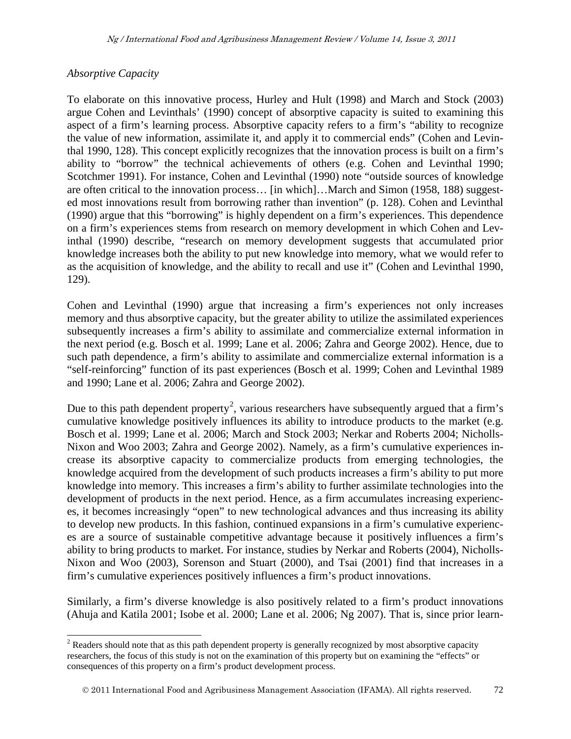#### *Absorptive Capacity*

To elaborate on this innovative process, Hurley and Hult (1998) and March and Stock (2003) argue Cohen and Levinthals' (1990) concept of absorptive capacity is suited to examining this aspect of a firm's learning process. Absorptive capacity refers to a firm's "ability to recognize the value of new information, assimilate it, and apply it to commercial ends" (Cohen and Levinthal 1990, 128). This concept explicitly recognizes that the innovation process is built on a firm's ability to "borrow" the technical achievements of others (e.g. Cohen and Levinthal 1990; Scotchmer 1991). For instance, Cohen and Levinthal (1990) note "outside sources of knowledge are often critical to the innovation process… [in which]…March and Simon (1958, 188) suggested most innovations result from borrowing rather than invention" (p. 128). Cohen and Levinthal (1990) argue that this "borrowing" is highly dependent on a firm's experiences. This dependence on a firm's experiences stems from research on memory development in which Cohen and Levinthal (1990) describe, "research on memory development suggests that accumulated prior knowledge increases both the ability to put new knowledge into memory, what we would refer to as the acquisition of knowledge, and the ability to recall and use it" (Cohen and Levinthal 1990, 129).

Cohen and Levinthal (1990) argue that increasing a firm's experiences not only increases memory and thus absorptive capacity, but the greater ability to utilize the assimilated experiences subsequently increases a firm's ability to assimilate and commercialize external information in the next period (e.g. Bosch et al. 1999; Lane et al. 2006; Zahra and George 2002). Hence, due to such path dependence, a firm's ability to assimilate and commercialize external information is a "self-reinforcing" function of its past experiences (Bosch et al. 1999; Cohen and Levinthal 1989 and 1990; Lane et al. 2006; Zahra and George 2002).

Due to this path dependent property<sup>[2](#page-3-0)</sup>, various researchers have subsequently argued that a firm's cumulative knowledge positively influences its ability to introduce products to the market (e.g. Bosch et al. 1999; Lane et al. 2006; March and Stock 2003; Nerkar and Roberts 2004; Nicholls-Nixon and Woo 2003; Zahra and George 2002). Namely, as a firm's cumulative experiences increase its absorptive capacity to commercialize products from emerging technologies, the knowledge acquired from the development of such products increases a firm's ability to put more knowledge into memory. This increases a firm's ability to further assimilate technologies into the development of products in the next period. Hence, as a firm accumulates increasing experiences, it becomes increasingly "open" to new technological advances and thus increasing its ability to develop new products. In this fashion, continued expansions in a firm's cumulative experiences are a source of sustainable competitive advantage because it positively influences a firm's ability to bring products to market. For instance, studies by Nerkar and Roberts (2004), Nicholls-Nixon and Woo (2003), Sorenson and Stuart (2000), and Tsai (2001) find that increases in a firm's cumulative experiences positively influences a firm's product innovations.

<span id="page-5-0"></span>Similarly, a firm's diverse knowledge is also positively related to a firm's product innovations (Ahuja and Katila 2001; Isobe et al. 2000; Lane et al. 2006; Ng 2007). That is, since prior learn-

<sup>&</sup>lt;sup>2</sup> Readers should note that as this path dependent property is generally recognized by most absorptive capacity researchers, the focus of this study is not on the examination of this property but on examining the "effects" or consequences of this property on a firm's product development process.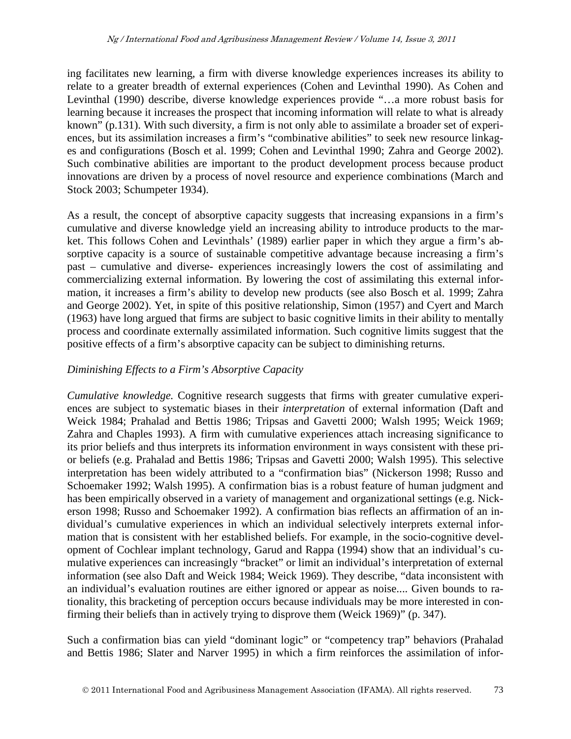ing facilitates new learning, a firm with diverse knowledge experiences increases its ability to relate to a greater breadth of external experiences (Cohen and Levinthal 1990). As Cohen and Levinthal (1990) describe, diverse knowledge experiences provide "…a more robust basis for learning because it increases the prospect that incoming information will relate to what is already known" (p.131). With such diversity, a firm is not only able to assimilate a broader set of experiences, but its assimilation increases a firm's "combinative abilities" to seek new resource linkages and configurations (Bosch et al. 1999; Cohen and Levinthal 1990; Zahra and George 2002). Such combinative abilities are important to the product development process because product innovations are driven by a process of novel resource and experience combinations (March and Stock 2003; Schumpeter 1934).

As a result, the concept of absorptive capacity suggests that increasing expansions in a firm's cumulative and diverse knowledge yield an increasing ability to introduce products to the market. This follows Cohen and Levinthals' (1989) earlier paper in which they argue a firm's absorptive capacity is a source of sustainable competitive advantage because increasing a firm's past – cumulative and diverse- experiences increasingly lowers the cost of assimilating and commercializing external information. By lowering the cost of assimilating this external information, it increases a firm's ability to develop new products (see also Bosch et al. 1999; Zahra and George 2002). Yet, in spite of this positive relationship, Simon (1957) and Cyert and March (1963) have long argued that firms are subject to basic cognitive limits in their ability to mentally process and coordinate externally assimilated information. Such cognitive limits suggest that the positive effects of a firm's absorptive capacity can be subject to diminishing returns.

### *Diminishing Effects to a Firm's Absorptive Capacity*

*Cumulative knowledge.* Cognitive research suggests that firms with greater cumulative experiences are subject to systematic biases in their *interpretation* of external information (Daft and Weick 1984; Prahalad and Bettis 1986; Tripsas and Gavetti 2000; Walsh 1995; Weick 1969; Zahra and Chaples 1993). A firm with cumulative experiences attach increasing significance to its prior beliefs and thus interprets its information environment in ways consistent with these prior beliefs (e.g. Prahalad and Bettis 1986; Tripsas and Gavetti 2000; Walsh 1995). This selective interpretation has been widely attributed to a "confirmation bias" (Nickerson 1998; Russo and Schoemaker 1992; Walsh 1995). A confirmation bias is a robust feature of human judgment and has been empirically observed in a variety of management and organizational settings (e.g. Nickerson 1998; Russo and Schoemaker 1992). A confirmation bias reflects an affirmation of an individual's cumulative experiences in which an individual selectively interprets external information that is consistent with her established beliefs. For example, in the socio-cognitive development of Cochlear implant technology, Garud and Rappa (1994) show that an individual's cumulative experiences can increasingly "bracket" or limit an individual's interpretation of external information (see also Daft and Weick 1984; Weick 1969). They describe, "data inconsistent with an individual's evaluation routines are either ignored or appear as noise.... Given bounds to rationality, this bracketing of perception occurs because individuals may be more interested in confirming their beliefs than in actively trying to disprove them (Weick 1969)" (p. 347).

Such a confirmation bias can yield "dominant logic" or "competency trap" behaviors (Prahalad and Bettis 1986; Slater and Narver 1995) in which a firm reinforces the assimilation of infor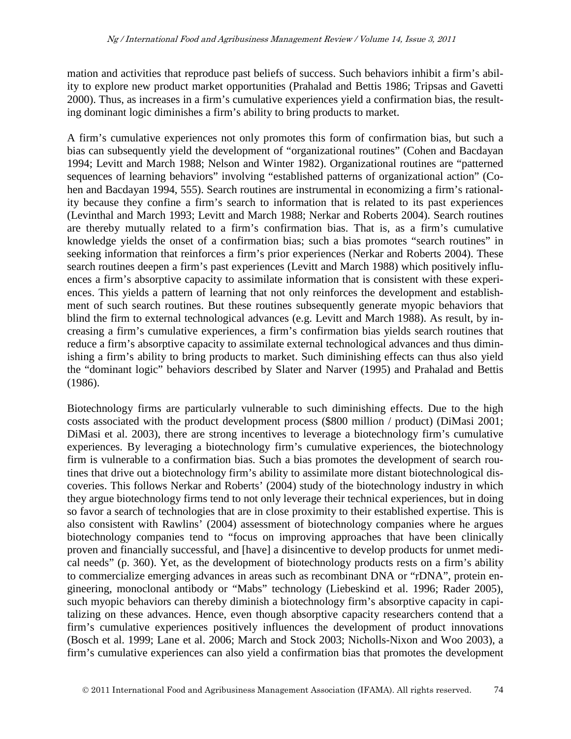mation and activities that reproduce past beliefs of success. Such behaviors inhibit a firm's ability to explore new product market opportunities (Prahalad and Bettis 1986; Tripsas and Gavetti 2000). Thus, as increases in a firm's cumulative experiences yield a confirmation bias, the resulting dominant logic diminishes a firm's ability to bring products to market.

A firm's cumulative experiences not only promotes this form of confirmation bias, but such a bias can subsequently yield the development of "organizational routines" (Cohen and Bacdayan 1994; Levitt and March 1988; Nelson and Winter 1982). Organizational routines are "patterned sequences of learning behaviors" involving "established patterns of organizational action" (Cohen and Bacdayan 1994, 555). Search routines are instrumental in economizing a firm's rationality because they confine a firm's search to information that is related to its past experiences (Levinthal and March 1993; Levitt and March 1988; Nerkar and Roberts 2004). Search routines are thereby mutually related to a firm's confirmation bias. That is, as a firm's cumulative knowledge yields the onset of a confirmation bias; such a bias promotes "search routines" in seeking information that reinforces a firm's prior experiences (Nerkar and Roberts 2004). These search routines deepen a firm's past experiences (Levitt and March 1988) which positively influences a firm's absorptive capacity to assimilate information that is consistent with these experiences. This yields a pattern of learning that not only reinforces the development and establishment of such search routines. But these routines subsequently generate myopic behaviors that blind the firm to external technological advances (e.g. Levitt and March 1988). As result, by increasing a firm's cumulative experiences, a firm's confirmation bias yields search routines that reduce a firm's absorptive capacity to assimilate external technological advances and thus diminishing a firm's ability to bring products to market. Such diminishing effects can thus also yield the "dominant logic" behaviors described by Slater and Narver (1995) and Prahalad and Bettis (1986).

Biotechnology firms are particularly vulnerable to such diminishing effects. Due to the high costs associated with the product development process (\$800 million / product) (DiMasi 2001; DiMasi et al. 2003), there are strong incentives to leverage a biotechnology firm's cumulative experiences. By leveraging a biotechnology firm's cumulative experiences, the biotechnology firm is vulnerable to a confirmation bias. Such a bias promotes the development of search routines that drive out a biotechnology firm's ability to assimilate more distant biotechnological discoveries. This follows Nerkar and Roberts' (2004) study of the biotechnology industry in which they argue biotechnology firms tend to not only leverage their technical experiences, but in doing so favor a search of technologies that are in close proximity to their established expertise. This is also consistent with Rawlins' (2004) assessment of biotechnology companies where he argues biotechnology companies tend to "focus on improving approaches that have been clinically proven and financially successful, and [have] a disincentive to develop products for unmet medical needs" (p. 360). Yet, as the development of biotechnology products rests on a firm's ability to commercialize emerging advances in areas such as recombinant DNA or "rDNA", protein engineering, monoclonal antibody or "Mabs" technology (Liebeskind et al. 1996; Rader 2005), such myopic behaviors can thereby diminish a biotechnology firm's absorptive capacity in capitalizing on these advances. Hence, even though absorptive capacity researchers contend that a firm's cumulative experiences positively influences the development of product innovations (Bosch et al. 1999; Lane et al. 2006; March and Stock 2003; Nicholls-Nixon and Woo 2003), a firm's cumulative experiences can also yield a confirmation bias that promotes the development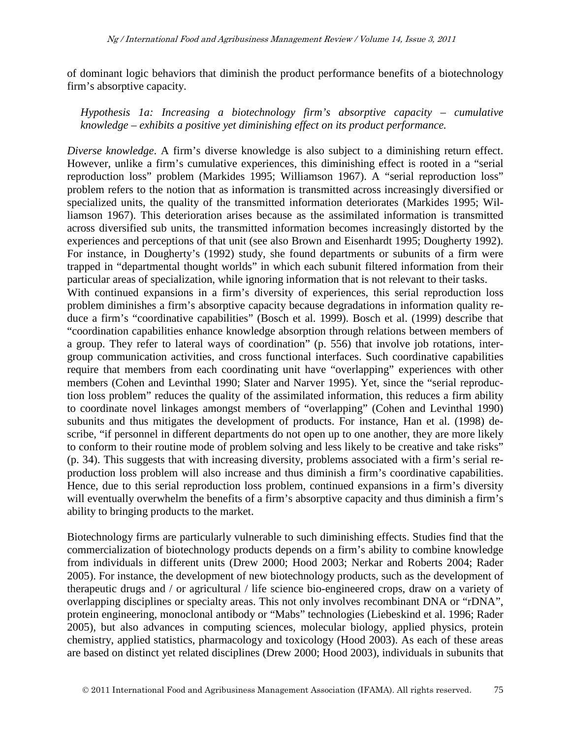of dominant logic behaviors that diminish the product performance benefits of a biotechnology firm's absorptive capacity.

*Hypothesis 1a: Increasing a biotechnology firm's absorptive capacity – cumulative knowledge – exhibits a positive yet diminishing effect on its product performance.* 

*Diverse knowledge*. A firm's diverse knowledge is also subject to a diminishing return effect. However, unlike a firm's cumulative experiences, this diminishing effect is rooted in a "serial reproduction loss" problem (Markides 1995; Williamson 1967). A "serial reproduction loss" problem refers to the notion that as information is transmitted across increasingly diversified or specialized units, the quality of the transmitted information deteriorates (Markides 1995; Williamson 1967). This deterioration arises because as the assimilated information is transmitted across diversified sub units, the transmitted information becomes increasingly distorted by the experiences and perceptions of that unit (see also Brown and Eisenhardt 1995; Dougherty 1992). For instance, in Dougherty's (1992) study, she found departments or subunits of a firm were trapped in "departmental thought worlds" in which each subunit filtered information from their particular areas of specialization, while ignoring information that is not relevant to their tasks. With continued expansions in a firm's diversity of experiences, this serial reproduction loss problem diminishes a firm's absorptive capacity because degradations in information quality reduce a firm's "coordinative capabilities" (Bosch et al. 1999). Bosch et al. (1999) describe that "coordination capabilities enhance knowledge absorption through relations between members of a group. They refer to lateral ways of coordination" (p. 556) that involve job rotations, intergroup communication activities, and cross functional interfaces. Such coordinative capabilities require that members from each coordinating unit have "overlapping" experiences with other members (Cohen and Levinthal 1990; Slater and Narver 1995). Yet, since the "serial reproduction loss problem" reduces the quality of the assimilated information, this reduces a firm ability to coordinate novel linkages amongst members of "overlapping" (Cohen and Levinthal 1990) subunits and thus mitigates the development of products. For instance, Han et al. (1998) describe, "if personnel in different departments do not open up to one another, they are more likely to conform to their routine mode of problem solving and less likely to be creative and take risks" (p. 34). This suggests that with increasing diversity, problems associated with a firm's serial reproduction loss problem will also increase and thus diminish a firm's coordinative capabilities. Hence, due to this serial reproduction loss problem, continued expansions in a firm's diversity will eventually overwhelm the benefits of a firm's absorptive capacity and thus diminish a firm's ability to bringing products to the market.

Biotechnology firms are particularly vulnerable to such diminishing effects. Studies find that the commercialization of biotechnology products depends on a firm's ability to combine knowledge from individuals in different units (Drew 2000; Hood 2003; Nerkar and Roberts 2004; Rader 2005). For instance, the development of new biotechnology products, such as the development of therapeutic drugs and / or agricultural / life science bio-engineered crops, draw on a variety of overlapping disciplines or specialty areas. This not only involves recombinant DNA or "rDNA", protein engineering, monoclonal antibody or "Mabs" technologies (Liebeskind et al. 1996; Rader 2005), but also advances in computing sciences, molecular biology, applied physics, protein chemistry, applied statistics, pharmacology and toxicology (Hood 2003). As each of these areas are based on distinct yet related disciplines (Drew 2000; Hood 2003), individuals in subunits that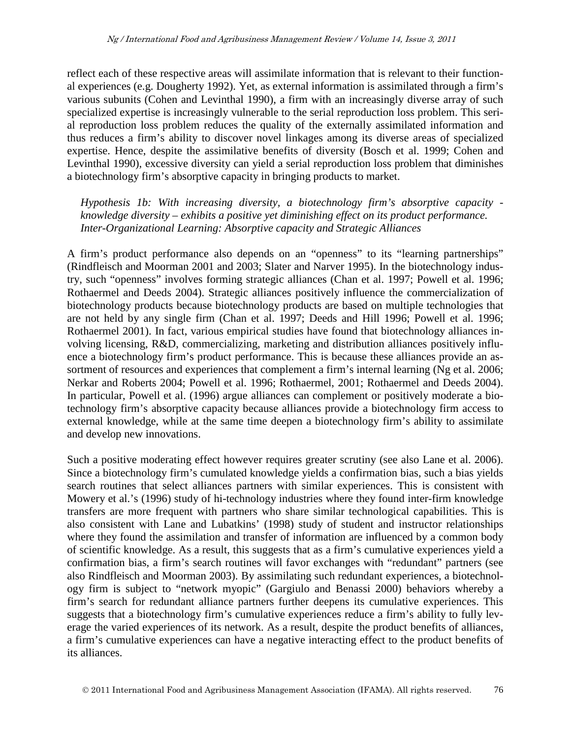reflect each of these respective areas will assimilate information that is relevant to their functional experiences (e.g. Dougherty 1992). Yet, as external information is assimilated through a firm's various subunits (Cohen and Levinthal 1990), a firm with an increasingly diverse array of such specialized expertise is increasingly vulnerable to the serial reproduction loss problem. This serial reproduction loss problem reduces the quality of the externally assimilated information and thus reduces a firm's ability to discover novel linkages among its diverse areas of specialized expertise. Hence, despite the assimilative benefits of diversity (Bosch et al. 1999; Cohen and Levinthal 1990), excessive diversity can yield a serial reproduction loss problem that diminishes a biotechnology firm's absorptive capacity in bringing products to market.

*Hypothesis 1b: With increasing diversity, a biotechnology firm's absorptive capacity knowledge diversity – exhibits a positive yet diminishing effect on its product performance. Inter-Organizational Learning: Absorptive capacity and Strategic Alliances*

A firm's product performance also depends on an "openness" to its "learning partnerships" (Rindfleisch and Moorman 2001 and 2003; Slater and Narver 1995). In the biotechnology industry, such "openness" involves forming strategic alliances (Chan et al. 1997; Powell et al. 1996; Rothaermel and Deeds 2004). Strategic alliances positively influence the commercialization of biotechnology products because biotechnology products are based on multiple technologies that are not held by any single firm (Chan et al. 1997; Deeds and Hill 1996; Powell et al. 1996; Rothaermel 2001). In fact, various empirical studies have found that biotechnology alliances involving licensing, R&D, commercializing, marketing and distribution alliances positively influence a biotechnology firm's product performance. This is because these alliances provide an assortment of resources and experiences that complement a firm's internal learning (Ng et al. 2006; Nerkar and Roberts 2004; Powell et al. 1996; Rothaermel, 2001; Rothaermel and Deeds 2004). In particular, Powell et al. (1996) argue alliances can complement or positively moderate a biotechnology firm's absorptive capacity because alliances provide a biotechnology firm access to external knowledge, while at the same time deepen a biotechnology firm's ability to assimilate and develop new innovations.

Such a positive moderating effect however requires greater scrutiny (see also Lane et al. 2006). Since a biotechnology firm's cumulated knowledge yields a confirmation bias, such a bias yields search routines that select alliances partners with similar experiences. This is consistent with Mowery et al.'s (1996) study of hi-technology industries where they found inter-firm knowledge transfers are more frequent with partners who share similar technological capabilities. This is also consistent with Lane and Lubatkins' (1998) study of student and instructor relationships where they found the assimilation and transfer of information are influenced by a common body of scientific knowledge. As a result, this suggests that as a firm's cumulative experiences yield a confirmation bias, a firm's search routines will favor exchanges with "redundant" partners (see also Rindfleisch and Moorman 2003). By assimilating such redundant experiences, a biotechnology firm is subject to "network myopic" (Gargiulo and Benassi 2000) behaviors whereby a firm's search for redundant alliance partners further deepens its cumulative experiences. This suggests that a biotechnology firm's cumulative experiences reduce a firm's ability to fully leverage the varied experiences of its network. As a result, despite the product benefits of alliances, a firm's cumulative experiences can have a negative interacting effect to the product benefits of its alliances.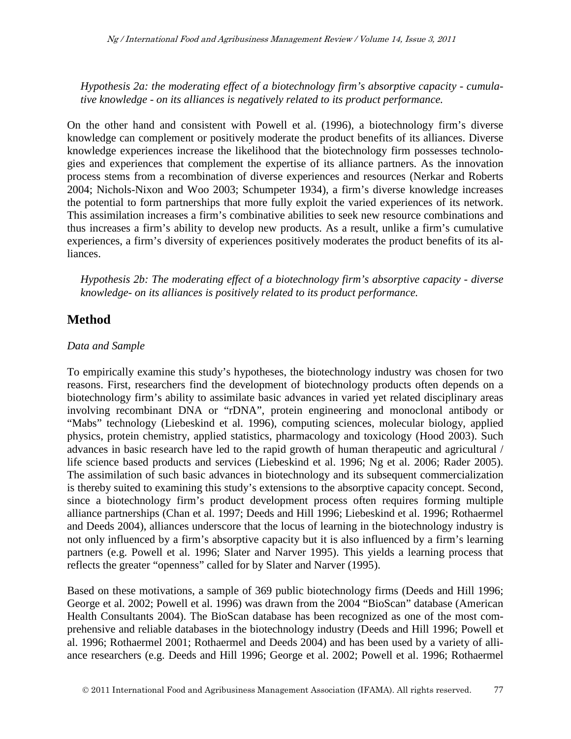*Hypothesis 2a: the moderating effect of a biotechnology firm's absorptive capacity - cumulative knowledge - on its alliances is negatively related to its product performance.*

On the other hand and consistent with Powell et al. (1996), a biotechnology firm's diverse knowledge can complement or positively moderate the product benefits of its alliances. Diverse knowledge experiences increase the likelihood that the biotechnology firm possesses technologies and experiences that complement the expertise of its alliance partners. As the innovation process stems from a recombination of diverse experiences and resources (Nerkar and Roberts 2004; Nichols-Nixon and Woo 2003; Schumpeter 1934), a firm's diverse knowledge increases the potential to form partnerships that more fully exploit the varied experiences of its network. This assimilation increases a firm's combinative abilities to seek new resource combinations and thus increases a firm's ability to develop new products. As a result, unlike a firm's cumulative experiences, a firm's diversity of experiences positively moderates the product benefits of its alliances.

*Hypothesis 2b: The moderating effect of a biotechnology firm's absorptive capacity - diverse knowledge- on its alliances is positively related to its product performance.*

## **Method**

#### *Data and Sample*

To empirically examine this study's hypotheses, the biotechnology industry was chosen for two reasons. First, researchers find the development of biotechnology products often depends on a biotechnology firm's ability to assimilate basic advances in varied yet related disciplinary areas involving recombinant DNA or "rDNA", protein engineering and monoclonal antibody or "Mabs" technology (Liebeskind et al. 1996), computing sciences, molecular biology, applied physics, protein chemistry, applied statistics, pharmacology and toxicology (Hood 2003). Such advances in basic research have led to the rapid growth of human therapeutic and agricultural / life science based products and services (Liebeskind et al. 1996; Ng et al. 2006; Rader 2005). The assimilation of such basic advances in biotechnology and its subsequent commercialization is thereby suited to examining this study's extensions to the absorptive capacity concept. Second, since a biotechnology firm's product development process often requires forming multiple alliance partnerships (Chan et al. 1997; Deeds and Hill 1996; Liebeskind et al. 1996; Rothaermel and Deeds 2004), alliances underscore that the locus of learning in the biotechnology industry is not only influenced by a firm's absorptive capacity but it is also influenced by a firm's learning partners (e.g. Powell et al. 1996; Slater and Narver 1995). This yields a learning process that reflects the greater "openness" called for by Slater and Narver (1995).

Based on these motivations, a sample of 369 public biotechnology firms (Deeds and Hill 1996; George et al. 2002; Powell et al. 1996) was drawn from the 2004 "BioScan" database (American Health Consultants 2004). The BioScan database has been recognized as one of the most comprehensive and reliable databases in the biotechnology industry (Deeds and Hill 1996; Powell et al. 1996; Rothaermel 2001; Rothaermel and Deeds 2004) and has been used by a variety of alliance researchers (e.g. Deeds and Hill 1996; George et al. 2002; Powell et al. 1996; Rothaermel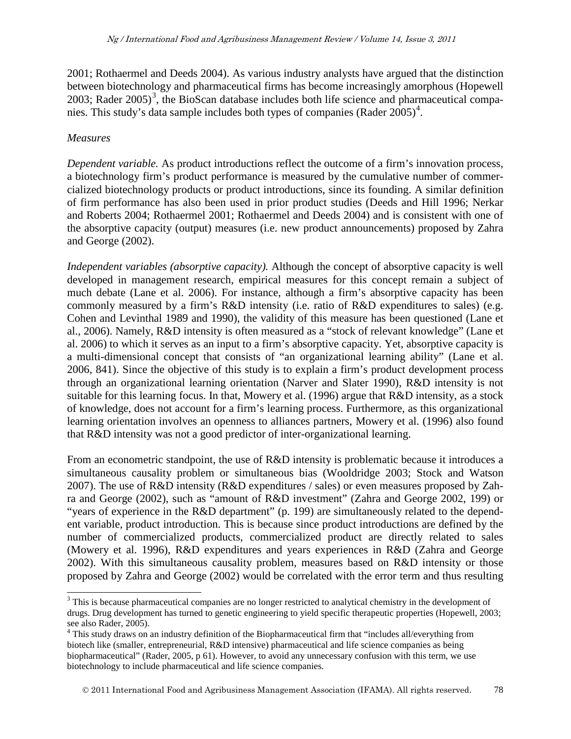2001; Rothaermel and Deeds 2004). As various industry analysts have argued that the distinction between biotechnology and pharmaceutical firms has become increasingly amorphous (Hopewell 200[3](#page-5-0); Rader  $2005$ <sup>3</sup>, the BioScan database includes both life science and pharmaceutical compa-nies. This study's data sample includes both types of companies (Rader 2005)<sup>[4](#page-11-0)</sup>.

#### *Measures*

*Dependent variable.* As product introductions reflect the outcome of a firm's innovation process, a biotechnology firm's product performance is measured by the cumulative number of commercialized biotechnology products or product introductions, since its founding. A similar definition of firm performance has also been used in prior product studies (Deeds and Hill 1996; Nerkar and Roberts 2004; Rothaermel 2001; Rothaermel and Deeds 2004) and is consistent with one of the absorptive capacity (output) measures (i.e. new product announcements) proposed by Zahra and George (2002).

*Independent variables (absorptive capacity).* Although the concept of absorptive capacity is well developed in management research, empirical measures for this concept remain a subject of much debate (Lane et al. 2006). For instance, although a firm's absorptive capacity has been commonly measured by a firm's R&D intensity (i.e. ratio of R&D expenditures to sales) (e.g. Cohen and Levinthal 1989 and 1990), the validity of this measure has been questioned (Lane et al., 2006). Namely, R&D intensity is often measured as a "stock of relevant knowledge" (Lane et al. 2006) to which it serves as an input to a firm's absorptive capacity. Yet, absorptive capacity is a multi-dimensional concept that consists of "an organizational learning ability" (Lane et al. 2006, 841). Since the objective of this study is to explain a firm's product development process through an organizational learning orientation (Narver and Slater 1990), R&D intensity is not suitable for this learning focus. In that, Mowery et al. (1996) argue that R&D intensity, as a stock of knowledge, does not account for a firm's learning process. Furthermore, as this organizational learning orientation involves an openness to alliances partners, Mowery et al. (1996) also found that R&D intensity was not a good predictor of inter-organizational learning.

From an econometric standpoint, the use of R&D intensity is problematic because it introduces a simultaneous causality problem or simultaneous bias (Wooldridge 2003; Stock and Watson 2007). The use of R&D intensity (R&D expenditures / sales) or even measures proposed by Zahra and George (2002), such as "amount of R&D investment" (Zahra and George 2002, 199) or "years of experience in the R&D department" (p. 199) are simultaneously related to the dependent variable, product introduction. This is because since product introductions are defined by the number of commercialized products, commercialized product are directly related to sales (Mowery et al. 1996), R&D expenditures and years experiences in R&D (Zahra and George 2002). With this simultaneous causality problem, measures based on R&D intensity or those proposed by Zahra and George (2002) would be correlated with the error term and thus resulting

<sup>&</sup>lt;sup>3</sup> This is because pharmaceutical companies are no longer restricted to analytical chemistry in the development of drugs. Drug development has turned to genetic engineering to yield specific therapeutic properties (Hopewell, 2003; see also Rader, 2005).

<span id="page-11-1"></span><span id="page-11-0"></span><sup>&</sup>lt;sup>4</sup> This study draws on an industry definition of the Biopharmaceutical firm that "includes all/everything from biotech like (smaller, entrepreneurial, R&D intensive) pharmaceutical and life science companies as being biopharmaceutical" (Rader, 2005, p 61). However, to avoid any unnecessary confusion with this term, we use biotechnology to include pharmaceutical and life science companies.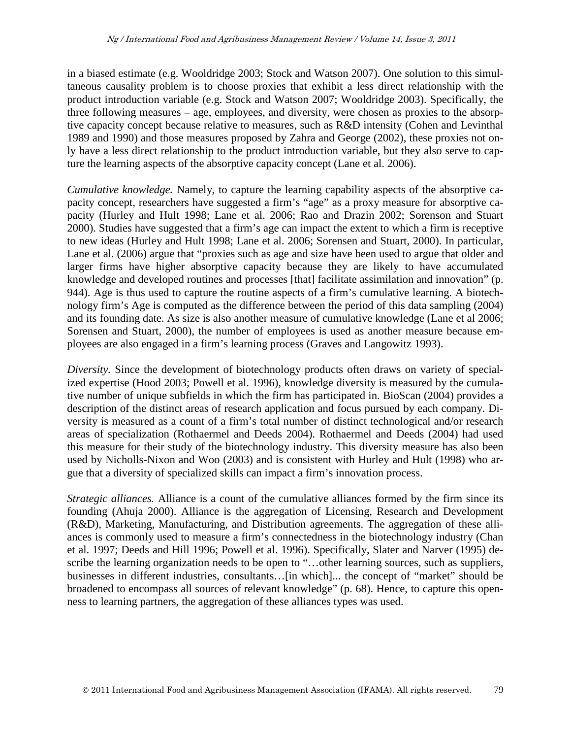in a biased estimate (e.g. Wooldridge 2003; Stock and Watson 2007). One solution to this simultaneous causality problem is to choose proxies that exhibit a less direct relationship with the product introduction variable (e.g. Stock and Watson 2007; Wooldridge 2003). Specifically, the three following measures – age, employees, and diversity, were chosen as proxies to the absorptive capacity concept because relative to measures, such as R&D intensity (Cohen and Levinthal 1989 and 1990) and those measures proposed by Zahra and George (2002), these proxies not only have a less direct relationship to the product introduction variable, but they also serve to capture the learning aspects of the absorptive capacity concept (Lane et al. 2006).

*Cumulative knowledge.* Namely, to capture the learning capability aspects of the absorptive capacity concept, researchers have suggested a firm's "age" as a proxy measure for absorptive capacity (Hurley and Hult 1998; Lane et al. 2006; Rao and Drazin 2002; Sorenson and Stuart 2000). Studies have suggested that a firm's age can impact the extent to which a firm is receptive to new ideas (Hurley and Hult 1998; Lane et al. 2006; Sorensen and Stuart, 2000). In particular, Lane et al. (2006) argue that "proxies such as age and size have been used to argue that older and larger firms have higher absorptive capacity because they are likely to have accumulated knowledge and developed routines and processes [that] facilitate assimilation and innovation" (p. 944). Age is thus used to capture the routine aspects of a firm's cumulative learning. A biotechnology firm's Age is computed as the difference between the period of this data sampling (2004) and its founding date. As size is also another measure of cumulative knowledge (Lane et al 2006; Sorensen and Stuart, 2000), the number of employees is used as another measure because employees are also engaged in a firm's learning process (Graves and Langowitz 1993).

*Diversity.* Since the development of biotechnology products often draws on variety of specialized expertise (Hood 2003; Powell et al. 1996), knowledge diversity is measured by the cumulative number of unique subfields in which the firm has participated in. BioScan (2004) provides a description of the distinct areas of research application and focus pursued by each company. Diversity is measured as a count of a firm's total number of distinct technological and/or research areas of specialization (Rothaermel and Deeds 2004). Rothaermel and Deeds (2004) had used this measure for their study of the biotechnology industry. This diversity measure has also been used by Nicholls-Nixon and Woo (2003) and is consistent with Hurley and Hult (1998) who argue that a diversity of specialized skills can impact a firm's innovation process.

*Strategic alliances.* Alliance is a count of the cumulative alliances formed by the firm since its founding (Ahuja 2000). Alliance is the aggregation of Licensing, Research and Development (R&D), Marketing, Manufacturing, and Distribution agreements. The aggregation of these alliances is commonly used to measure a firm's connectedness in the biotechnology industry (Chan et al. 1997; Deeds and Hill 1996; Powell et al. 1996). Specifically, Slater and Narver (1995) describe the learning organization needs to be open to "…other learning sources, such as suppliers, businesses in different industries, consultants…[in which]... the concept of "market" should be broadened to encompass all sources of relevant knowledge" (p. 68). Hence, to capture this openness to learning partners, the aggregation of these alliances types was used.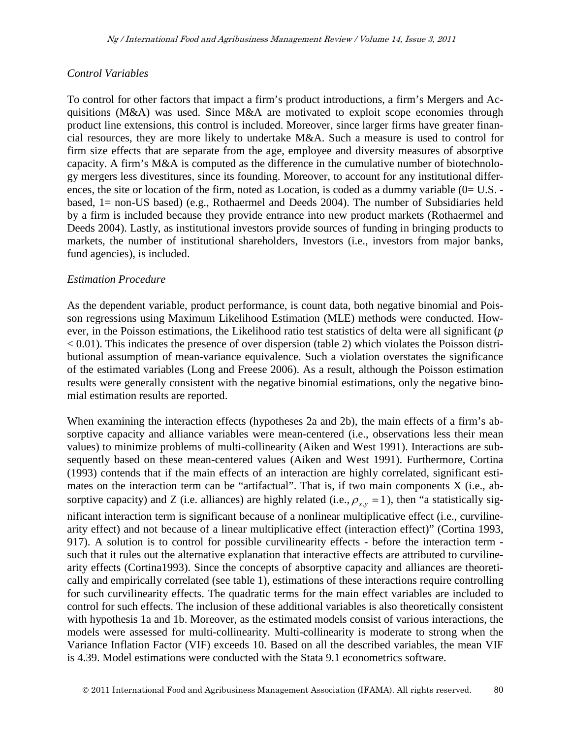#### *Control Variables*

To control for other factors that impact a firm's product introductions, a firm's Mergers and Acquisitions ( $M&A$ ) was used. Since  $M&A$  are motivated to exploit scope economies through product line extensions, this control is included. Moreover, since larger firms have greater financial resources, they are more likely to undertake M&A. Such a measure is used to control for firm size effects that are separate from the age, employee and diversity measures of absorptive capacity. A firm's M&A is computed as the difference in the cumulative number of biotechnology mergers less divestitures, since its founding. Moreover, to account for any institutional differences, the site or location of the firm, noted as Location, is coded as a dummy variable (0= U.S. based, 1= non-US based) (e.g., Rothaermel and Deeds 2004). The number of Subsidiaries held by a firm is included because they provide entrance into new product markets (Rothaermel and Deeds 2004). Lastly, as institutional investors provide sources of funding in bringing products to markets, the number of institutional shareholders, Investors (i.e., investors from major banks, fund agencies), is included.

#### *Estimation Procedure*

As the dependent variable, product performance, is count data, both negative binomial and Poisson regressions using Maximum Likelihood Estimation (MLE) methods were conducted. However, in the Poisson estimations, the Likelihood ratio test statistics of delta were all significant (*p*   $< 0.01$ ). This indicates the presence of over dispersion (table 2) which violates the Poisson distributional assumption of mean-variance equivalence. Such a violation overstates the significance of the estimated variables (Long and Freese 2006). As a result, although the Poisson estimation results were generally consistent with the negative binomial estimations, only the negative binomial estimation results are reported.

When examining the interaction effects (hypotheses 2a and 2b), the main effects of a firm's absorptive capacity and alliance variables were mean-centered (i.e., observations less their mean values) to minimize problems of multi-collinearity (Aiken and West 1991). Interactions are subsequently based on these mean-centered values (Aiken and West 1991). Furthermore, Cortina (1993) contends that if the main effects of an interaction are highly correlated, significant estimates on the interaction term can be "artifactual". That is, if two main components X (i.e., absorptive capacity) and Z (i.e. alliances) are highly related (i.e.,  $\rho_{x,y} = 1$ ), then "a statistically significant interaction term is significant because of a nonlinear multiplicative effect (i.e., curvilinearity effect) and not because of a linear multiplicative effect (interaction effect)" (Cortina 1993, 917). A solution is to control for possible curvilinearity effects - before the interaction term such that it rules out the alternative explanation that interactive effects are attributed to curvilinearity effects (Cortina1993). Since the concepts of absorptive capacity and alliances are theoretically and empirically correlated (see table 1), estimations of these interactions require controlling for such curvilinearity effects. The quadratic terms for the main effect variables are included to control for such effects. The inclusion of these additional variables is also theoretically consistent with hypothesis 1a and 1b. Moreover, as the estimated models consist of various interactions, the models were assessed for multi-collinearity. Multi-collinearity is moderate to strong when the Variance Inflation Factor (VIF) exceeds 10. Based on all the described variables, the mean VIF is 4.39. Model estimations were conducted with the Stata 9.1 econometrics software.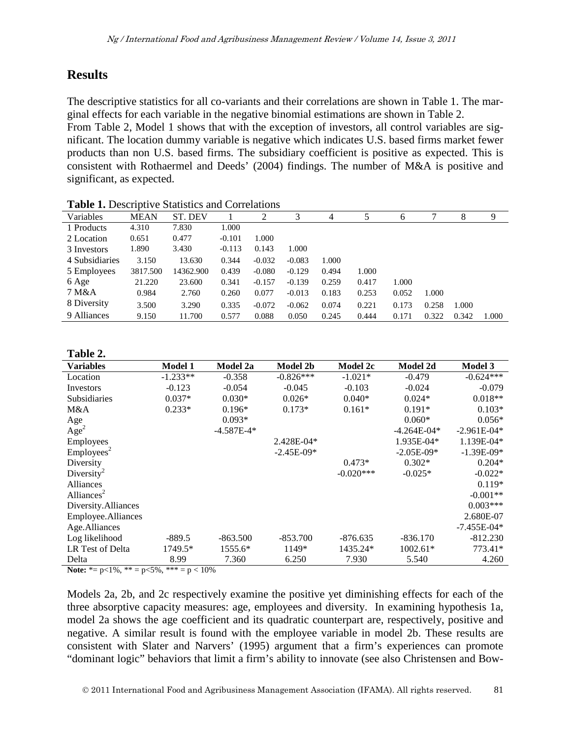## **Results**

The descriptive statistics for all co-variants and their correlations are shown in Table 1. The marginal effects for each variable in the negative binomial estimations are shown in Table 2. From Table 2, Model 1 shows that with the exception of investors, all control variables are significant. The location dummy variable is negative which indicates U.S. based firms market fewer products than non U.S. based firms. The subsidiary coefficient is positive as expected. This is consistent with Rothaermel and Deeds' (2004) findings. The number of M&A is positive and significant, as expected.

| <b>Table 1:</b> Descriptive blatistics and correlations |             |           |          |          |          |       |       |       |       |       |       |
|---------------------------------------------------------|-------------|-----------|----------|----------|----------|-------|-------|-------|-------|-------|-------|
| Variables                                               | <b>MEAN</b> | ST. DEV   |          | 2        | 3        | 4     |       | 6     |       | 8     | 9     |
| 1 Products                                              | 4.310       | 7.830     | 1.000    |          |          |       |       |       |       |       |       |
| 2 Location                                              | 0.651       | 0.477     | $-0.101$ | 1.000    |          |       |       |       |       |       |       |
| 3 Investors                                             | 1.890       | 3.430     | $-0.113$ | 0.143    | 1.000    |       |       |       |       |       |       |
| 4 Subsidiaries                                          | 3.150       | 13.630    | 0.344    | $-0.032$ | $-0.083$ | 1.000 |       |       |       |       |       |
| 5 Employees                                             | 3817.500    | 14362.900 | 0.439    | $-0.080$ | $-0.129$ | 0.494 | 1.000 |       |       |       |       |
| 6 Age                                                   | 21.220      | 23.600    | 0.341    | $-0.157$ | $-0.139$ | 0.259 | 0.417 | 1.000 |       |       |       |
| 7 M&A                                                   | 0.984       | 2.760     | 0.260    | 0.077    | $-0.013$ | 0.183 | 0.253 | 0.052 | 1.000 |       |       |
| 8 Diversity                                             | 3.500       | 3.290     | 0.335    | $-0.072$ | $-0.062$ | 0.074 | 0.221 | 0.173 | 0.258 | 1.000 |       |
| 9 Alliances                                             | 9.150       | 11.700    | 0.577    | 0.088    | 0.050    | 0.245 | 0.444 | 0.171 | 0.322 | 0.342 | 1.000 |

**Table 1.** Descriptive Statistics and Correlations

#### **Table 2.**

| <b>Variables</b>       | <b>Model 1</b> | Model 2a     | <b>Model 2b</b> | Model 2c    | Model 2d        | <b>Model 3</b>  |
|------------------------|----------------|--------------|-----------------|-------------|-----------------|-----------------|
| Location               | $-1.233**$     | $-0.358$     | $-0.826***$     | $-1.021*$   | $-0.479$        | $-0.624***$     |
| Investors              | $-0.123$       | $-0.054$     | $-0.045$        | $-0.103$    | $-0.024$        | $-0.079$        |
| <b>Subsidiaries</b>    | $0.037*$       | $0.030*$     | $0.026*$        | $0.040*$    | $0.024*$        | $0.018**$       |
| M&A                    | $0.233*$       | $0.196*$     | $0.173*$        | $0.161*$    | $0.191*$        | $0.103*$        |
| Age                    |                | $0.093*$     |                 |             | $0.060*$        | $0.056*$        |
| Age <sup>2</sup>       |                | $-4.587E-4*$ |                 |             | $-4.264E - 04*$ | $-2.961E - 04*$ |
| Employees              |                |              | 2.428E-04*      |             | 1.935E-04*      | 1.139E-04*      |
| Employes <sup>2</sup>  |                |              | $-2.45E-09*$    |             | $-2.05E-09*$    | $-1.39E-09*$    |
| Diversity              |                |              |                 | $0.473*$    | $0.302*$        | $0.204*$        |
| Diversity <sup>2</sup> |                |              |                 | $-0.020***$ | $-0.025*$       | $-0.022*$       |
| Alliances              |                |              |                 |             |                 | $0.119*$        |
| Alliances <sup>2</sup> |                |              |                 |             |                 | $-0.001**$      |
| Diversity.Alliances    |                |              |                 |             |                 | $0.003***$      |
| Employee.Alliances     |                |              |                 |             |                 | 2.680E-07       |
| Age.Alliances          |                |              |                 |             |                 | $-7.455E-04*$   |
| Log likelihood         | $-889.5$       | $-863.500$   | $-853.700$      | $-876.635$  | $-836.170$      | $-812.230$      |
| LR Test of Delta       | 1749.5*        | 1555.6*      | 1149*           | 1435.24*    | 1002.61*        | 773.41*         |
| Delta                  | 8.99           | 7.360        | 6.250           | 7.930       | 5.540           | 4.260           |

**Note:**  $* = p < 1\%$ ,  $* = p < 5\%$ ,  $* * = p < 10\%$ 

Models 2a, 2b, and 2c respectively examine the positive yet diminishing effects for each of the three absorptive capacity measures: age, employees and diversity. In examining hypothesis 1a, model 2a shows the age coefficient and its quadratic counterpart are, respectively, positive and negative. A similar result is found with the employee variable in model 2b. These results are consistent with Slater and Narvers' (1995) argument that a firm's experiences can promote "dominant logic" behaviors that limit a firm's ability to innovate (see also Christensen and Bow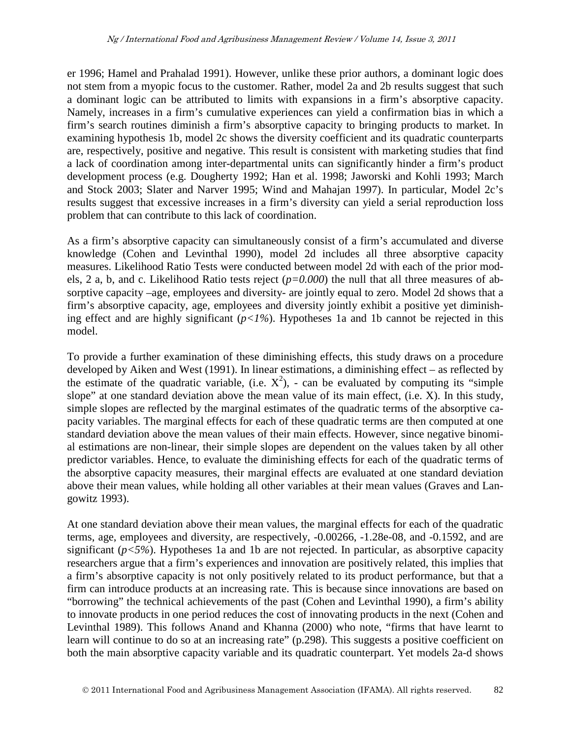er 1996; Hamel and Prahalad 1991). However, unlike these prior authors, a dominant logic does not stem from a myopic focus to the customer. Rather, model 2a and 2b results suggest that such a dominant logic can be attributed to limits with expansions in a firm's absorptive capacity. Namely, increases in a firm's cumulative experiences can yield a confirmation bias in which a firm's search routines diminish a firm's absorptive capacity to bringing products to market. In examining hypothesis 1b, model 2c shows the diversity coefficient and its quadratic counterparts are, respectively, positive and negative. This result is consistent with marketing studies that find a lack of coordination among inter-departmental units can significantly hinder a firm's product development process (e.g. Dougherty 1992; Han et al. 1998; Jaworski and Kohli 1993; March and Stock 2003; Slater and Narver 1995; Wind and Mahajan 1997). In particular, Model 2c's results suggest that excessive increases in a firm's diversity can yield a serial reproduction loss problem that can contribute to this lack of coordination.

As a firm's absorptive capacity can simultaneously consist of a firm's accumulated and diverse knowledge (Cohen and Levinthal 1990), model 2d includes all three absorptive capacity measures. Likelihood Ratio Tests were conducted between model 2d with each of the prior models, 2 a, b, and c. Likelihood Ratio tests reject (*p=0.000*) the null that all three measures of absorptive capacity –age, employees and diversity- are jointly equal to zero. Model 2d shows that a firm's absorptive capacity, age, employees and diversity jointly exhibit a positive yet diminishing effect and are highly significant (*p<1%*). Hypotheses 1a and 1b cannot be rejected in this model.

To provide a further examination of these diminishing effects, this study draws on a procedure developed by Aiken and West (1991). In linear estimations, a diminishing effect – as reflected by the estimate of the quadratic variable, (i.e.  $X^2$ ), - can be evaluated by computing its "simple slope" at one standard deviation above the mean value of its main effect, (i.e. X). In this study, simple slopes are reflected by the marginal estimates of the quadratic terms of the absorptive capacity variables. The marginal effects for each of these quadratic terms are then computed at one standard deviation above the mean values of their main effects. However, since negative binomial estimations are non-linear, their simple slopes are dependent on the values taken by all other predictor variables. Hence, to evaluate the diminishing effects for each of the quadratic terms of the absorptive capacity measures, their marginal effects are evaluated at one standard deviation above their mean values, while holding all other variables at their mean values (Graves and Langowitz 1993).

At one standard deviation above their mean values, the marginal effects for each of the quadratic terms, age, employees and diversity, are respectively, -0.00266, -1.28e-08, and -0.1592, and are significant ( $p < 5\%$ ). Hypotheses 1a and 1b are not rejected. In particular, as absorptive capacity researchers argue that a firm's experiences and innovation are positively related, this implies that a firm's absorptive capacity is not only positively related to its product performance, but that a firm can introduce products at an increasing rate. This is because since innovations are based on "borrowing" the technical achievements of the past (Cohen and Levinthal 1990), a firm's ability to innovate products in one period reduces the cost of innovating products in the next (Cohen and Levinthal 1989). This follows Anand and Khanna (2000) who note, "firms that have learnt to learn will continue to do so at an increasing rate" (p.298). This suggests a positive coefficient on both the main absorptive capacity variable and its quadratic counterpart. Yet models 2a-d shows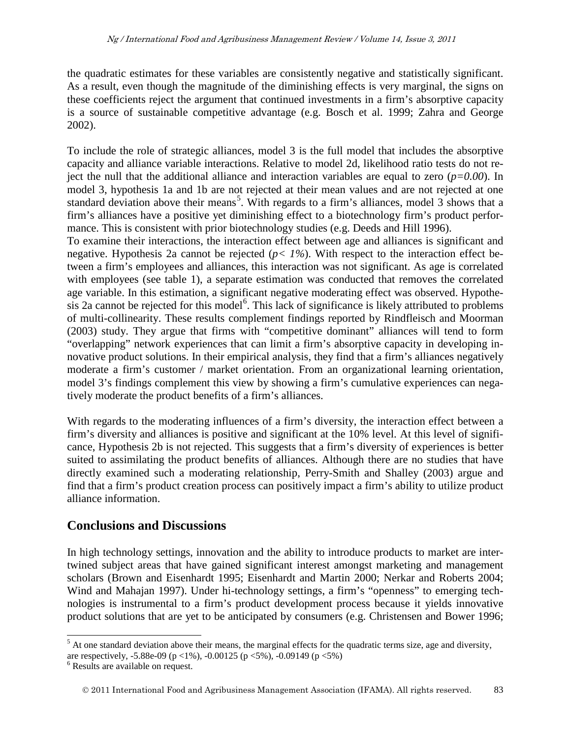the quadratic estimates for these variables are consistently negative and statistically significant. As a result, even though the magnitude of the diminishing effects is very marginal, the signs on these coefficients reject the argument that continued investments in a firm's absorptive capacity is a source of sustainable competitive advantage (e.g. Bosch et al. 1999; Zahra and George 2002).

To include the role of strategic alliances, model 3 is the full model that includes the absorptive capacity and alliance variable interactions. Relative to model 2d, likelihood ratio tests do not reject the null that the additional alliance and interaction variables are equal to zero (*p=0.00*). In model 3, hypothesis 1a and 1b are not rejected at their mean values and are not rejected at one standard deviation above their means<sup>[5](#page-11-1)</sup>. With regards to a firm's alliances, model 3 shows that a firm's alliances have a positive yet diminishing effect to a biotechnology firm's product performance. This is consistent with prior biotechnology studies (e.g. Deeds and Hill 1996).

To examine their interactions, the interaction effect between age and alliances is significant and negative. Hypothesis 2a cannot be rejected (*p< 1%*). With respect to the interaction effect between a firm's employees and alliances, this interaction was not significant. As age is correlated with employees (see table 1), a separate estimation was conducted that removes the correlated age variable. In this estimation, a significant negative moderating effect was observed. Hypothe-sis 2a cannot be rejected for this model<sup>[6](#page-16-0)</sup>. This lack of significance is likely attributed to problems of multi-collinearity. These results complement findings reported by Rindfleisch and Moorman (2003) study. They argue that firms with "competitive dominant" alliances will tend to form "overlapping" network experiences that can limit a firm's absorptive capacity in developing innovative product solutions. In their empirical analysis, they find that a firm's alliances negatively moderate a firm's customer / market orientation. From an organizational learning orientation, model 3's findings complement this view by showing a firm's cumulative experiences can negatively moderate the product benefits of a firm's alliances.

With regards to the moderating influences of a firm's diversity, the interaction effect between a firm's diversity and alliances is positive and significant at the 10% level. At this level of significance, Hypothesis 2b is not rejected. This suggests that a firm's diversity of experiences is better suited to assimilating the product benefits of alliances. Although there are no studies that have directly examined such a moderating relationship, Perry-Smith and Shalley (2003) argue and find that a firm's product creation process can positively impact a firm's ability to utilize product alliance information.

## **Conclusions and Discussions**

In high technology settings, innovation and the ability to introduce products to market are intertwined subject areas that have gained significant interest amongst marketing and management scholars (Brown and Eisenhardt 1995; Eisenhardt and Martin 2000; Nerkar and Roberts 2004; Wind and Mahajan 1997). Under hi-technology settings, a firm's "openness" to emerging technologies is instrumental to a firm's product development process because it yields innovative product solutions that are yet to be anticipated by consumers (e.g. Christensen and Bower 1996;

<span id="page-16-1"></span> $<sup>5</sup>$  At one standard deviation above their means, the marginal effects for the quadratic terms size, age and diversity,</sup> are respectively, -5.88e-09 (p <1%), -0.00125 (p <5%), -0.09149 (p <5%)  $^6$  Results are available on request.

<span id="page-16-0"></span>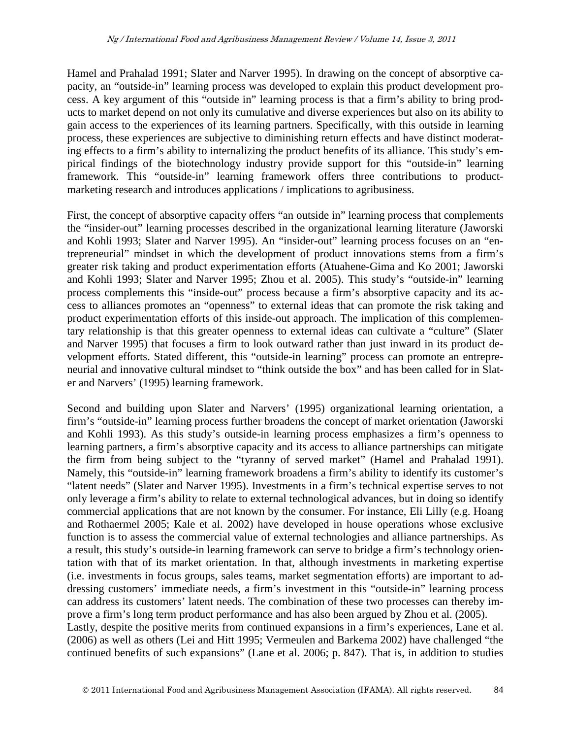Hamel and Prahalad 1991; Slater and Narver 1995). In drawing on the concept of absorptive capacity, an "outside-in" learning process was developed to explain this product development process. A key argument of this "outside in" learning process is that a firm's ability to bring products to market depend on not only its cumulative and diverse experiences but also on its ability to gain access to the experiences of its learning partners. Specifically, with this outside in learning process, these experiences are subjective to diminishing return effects and have distinct moderating effects to a firm's ability to internalizing the product benefits of its alliance. This study's empirical findings of the biotechnology industry provide support for this "outside-in" learning framework. This "outside-in" learning framework offers three contributions to productmarketing research and introduces applications / implications to agribusiness.

First, the concept of absorptive capacity offers "an outside in" learning process that complements the "insider-out" learning processes described in the organizational learning literature (Jaworski and Kohli 1993; Slater and Narver 1995). An "insider-out" learning process focuses on an "entrepreneurial" mindset in which the development of product innovations stems from a firm's greater risk taking and product experimentation efforts (Atuahene-Gima and Ko 2001; Jaworski and Kohli 1993; Slater and Narver 1995; Zhou et al. 2005). This study's "outside-in" learning process complements this "inside-out" process because a firm's absorptive capacity and its access to alliances promotes an "openness" to external ideas that can promote the risk taking and product experimentation efforts of this inside-out approach. The implication of this complementary relationship is that this greater openness to external ideas can cultivate a "culture" (Slater and Narver 1995) that focuses a firm to look outward rather than just inward in its product development efforts. Stated different, this "outside-in learning" process can promote an entrepreneurial and innovative cultural mindset to "think outside the box" and has been called for in Slater and Narvers' (1995) learning framework.

Second and building upon Slater and Narvers' (1995) organizational learning orientation, a firm's "outside-in" learning process further broadens the concept of market orientation (Jaworski and Kohli 1993). As this study's outside-in learning process emphasizes a firm's openness to learning partners, a firm's absorptive capacity and its access to alliance partnerships can mitigate the firm from being subject to the "tyranny of served market" (Hamel and Prahalad 1991). Namely, this "outside-in" learning framework broadens a firm's ability to identify its customer's "latent needs" (Slater and Narver 1995). Investments in a firm's technical expertise serves to not only leverage a firm's ability to relate to external technological advances, but in doing so identify commercial applications that are not known by the consumer. For instance, Eli Lilly (e.g. Hoang and Rothaermel 2005; Kale et al. 2002) have developed in house operations whose exclusive function is to assess the commercial value of external technologies and alliance partnerships. As a result, this study's outside-in learning framework can serve to bridge a firm's technology orientation with that of its market orientation. In that, although investments in marketing expertise (i.e. investments in focus groups, sales teams, market segmentation efforts) are important to addressing customers' immediate needs, a firm's investment in this "outside-in" learning process can address its customers' latent needs. The combination of these two processes can thereby improve a firm's long term product performance and has also been argued by Zhou et al. (2005). Lastly, despite the positive merits from continued expansions in a firm's experiences, Lane et al. (2006) as well as others (Lei and Hitt 1995; Vermeulen and Barkema 2002) have challenged "the continued benefits of such expansions" (Lane et al. 2006; p. 847). That is, in addition to studies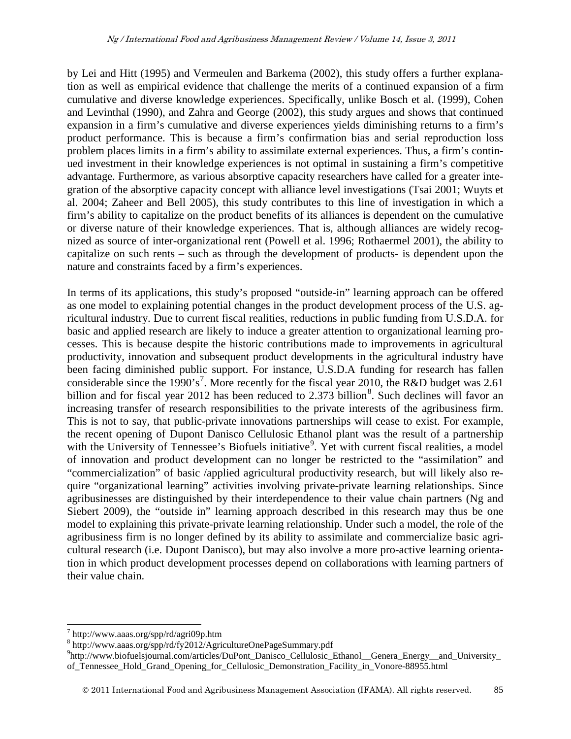by Lei and Hitt (1995) and Vermeulen and Barkema (2002), this study offers a further explanation as well as empirical evidence that challenge the merits of a continued expansion of a firm cumulative and diverse knowledge experiences. Specifically, unlike Bosch et al. (1999), Cohen and Levinthal (1990), and Zahra and George (2002), this study argues and shows that continued expansion in a firm's cumulative and diverse experiences yields diminishing returns to a firm's product performance. This is because a firm's confirmation bias and serial reproduction loss problem places limits in a firm's ability to assimilate external experiences. Thus, a firm's continued investment in their knowledge experiences is not optimal in sustaining a firm's competitive advantage. Furthermore, as various absorptive capacity researchers have called for a greater integration of the absorptive capacity concept with alliance level investigations (Tsai 2001; Wuyts et al. 2004; Zaheer and Bell 2005), this study contributes to this line of investigation in which a firm's ability to capitalize on the product benefits of its alliances is dependent on the cumulative or diverse nature of their knowledge experiences. That is, although alliances are widely recognized as source of inter-organizational rent (Powell et al. 1996; Rothaermel 2001), the ability to capitalize on such rents – such as through the development of products- is dependent upon the nature and constraints faced by a firm's experiences.

In terms of its applications, this study's proposed "outside-in" learning approach can be offered as one model to explaining potential changes in the product development process of the U.S. agricultural industry. Due to current fiscal realities, reductions in public funding from U.S.D.A. for basic and applied research are likely to induce a greater attention to organizational learning processes. This is because despite the historic contributions made to improvements in agricultural productivity, innovation and subsequent product developments in the agricultural industry have been facing diminished public support. For instance, U.S.D.A funding for research has fallen considerable since the 1990's<sup>[7](#page-16-1)</sup>. More recently for the fiscal year 2010, the R&D budget was 2.61 billion and for fiscal year 2012 has been reduced to 2.373 billion<sup>[8](#page-18-0)</sup>. Such declines will favor an increasing transfer of research responsibilities to the private interests of the agribusiness firm. This is not to say, that public-private innovations partnerships will cease to exist. For example, the recent opening of Dupont Danisco Cellulosic Ethanol plant was the result of a partnership with the University of Tennessee's Biofuels initiative<sup>[9](#page-18-1)</sup>. Yet with current fiscal realities, a model of innovation and product development can no longer be restricted to the "assimilation" and "commercialization" of basic /applied agricultural productivity research, but will likely also require "organizational learning" activities involving private-private learning relationships. Since agribusinesses are distinguished by their interdependence to their value chain partners (Ng and Siebert 2009), the "outside in" learning approach described in this research may thus be one model to explaining this private-private learning relationship. Under such a model, the role of the agribusiness firm is no longer defined by its ability to assimilate and commercialize basic agricultural research (i.e. Dupont Danisco), but may also involve a more pro-active learning orientation in which product development processes depend on collaborations with learning partners of their value chain.

 $^7$  http://www.aaas.org/spp/rd/agri09p.htm<br><sup>8</sup> http://www.aaas.org/spp/rd/fy2012/AgricultureOnePageSummary.pdf

<span id="page-18-2"></span><span id="page-18-1"></span><span id="page-18-0"></span><sup>9</sup> http://www.biofuelsjournal.com/articles/DuPont\_Danisco\_Cellulosic\_Ethanol\_\_Genera\_Energy\_\_and\_University\_ of\_Tennessee\_Hold\_Grand\_Opening\_for\_Cellulosic\_Demonstration\_Facility\_in\_Vonore-88955.html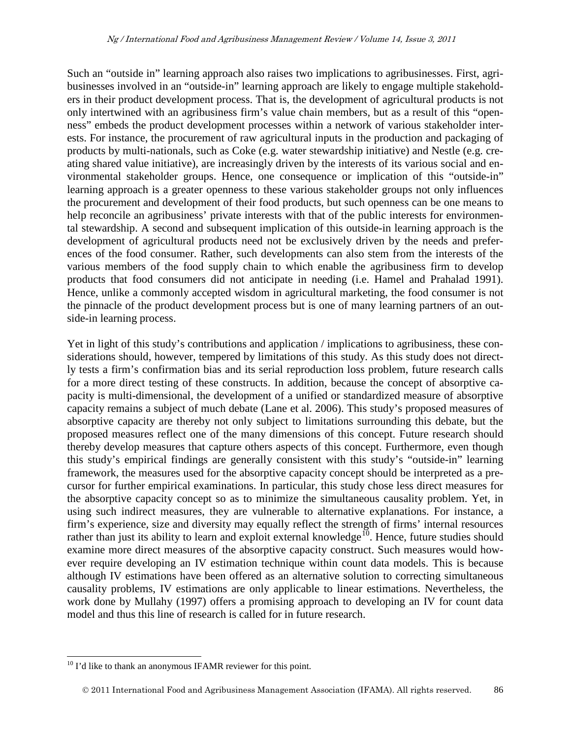Such an "outside in" learning approach also raises two implications to agribusinesses. First, agribusinesses involved in an "outside-in" learning approach are likely to engage multiple stakeholders in their product development process. That is, the development of agricultural products is not only intertwined with an agribusiness firm's value chain members, but as a result of this "openness" embeds the product development processes within a network of various stakeholder interests. For instance, the procurement of raw agricultural inputs in the production and packaging of products by multi-nationals, such as Coke (e.g. water stewardship initiative) and Nestle (e.g. creating shared value initiative), are increasingly driven by the interests of its various social and environmental stakeholder groups. Hence, one consequence or implication of this "outside-in" learning approach is a greater openness to these various stakeholder groups not only influences the procurement and development of their food products, but such openness can be one means to help reconcile an agribusiness' private interests with that of the public interests for environmental stewardship. A second and subsequent implication of this outside-in learning approach is the development of agricultural products need not be exclusively driven by the needs and preferences of the food consumer. Rather, such developments can also stem from the interests of the various members of the food supply chain to which enable the agribusiness firm to develop products that food consumers did not anticipate in needing (i.e. Hamel and Prahalad 1991). Hence, unlike a commonly accepted wisdom in agricultural marketing, the food consumer is not the pinnacle of the product development process but is one of many learning partners of an outside-in learning process.

Yet in light of this study's contributions and application / implications to agribusiness, these considerations should, however, tempered by limitations of this study. As this study does not directly tests a firm's confirmation bias and its serial reproduction loss problem, future research calls for a more direct testing of these constructs. In addition, because the concept of absorptive capacity is multi-dimensional, the development of a unified or standardized measure of absorptive capacity remains a subject of much debate (Lane et al. 2006). This study's proposed measures of absorptive capacity are thereby not only subject to limitations surrounding this debate, but the proposed measures reflect one of the many dimensions of this concept. Future research should thereby develop measures that capture others aspects of this concept. Furthermore, even though this study's empirical findings are generally consistent with this study's "outside-in" learning framework, the measures used for the absorptive capacity concept should be interpreted as a precursor for further empirical examinations. In particular, this study chose less direct measures for the absorptive capacity concept so as to minimize the simultaneous causality problem. Yet, in using such indirect measures, they are vulnerable to alternative explanations. For instance, a firm's experience, size and diversity may equally reflect the strength of firms' internal resources rather than just its ability to learn and exploit external knowledge<sup>[10](#page-18-2)</sup>. Hence, future studies should examine more direct measures of the absorptive capacity construct. Such measures would however require developing an IV estimation technique within count data models. This is because although IV estimations have been offered as an alternative solution to correcting simultaneous causality problems, IV estimations are only applicable to linear estimations. Nevertheless, the work done by Mullahy (1997) offers a promising approach to developing an IV for count data model and thus this line of research is called for in future research.

 $10$  I'd like to thank an anonymous IFAMR reviewer for this point.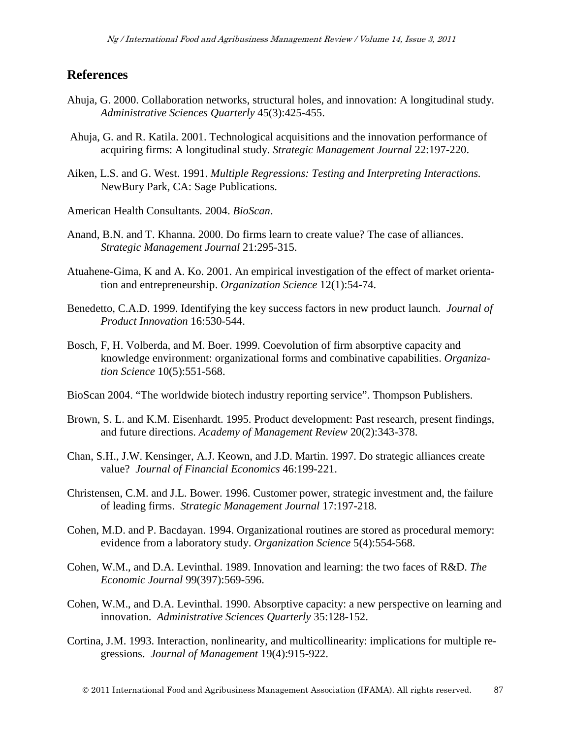### **References**

- Ahuja, G. 2000. Collaboration networks, structural holes, and innovation: A longitudinal study. *Administrative Sciences Quarterly* 45(3):425-455.
- Ahuja, G. and R. Katila. 2001. Technological acquisitions and the innovation performance of acquiring firms: A longitudinal study. *Strategic Management Journal* 22:197-220.
- Aiken, L.S. and G. West. 1991. *Multiple Regressions: Testing and Interpreting Interactions.* NewBury Park, CA: Sage Publications.
- American Health Consultants. 2004. *BioScan*.
- Anand, B.N. and T. Khanna. 2000. Do firms learn to create value? The case of alliances. *Strategic Management Journal* 21:295-315.
- Atuahene-Gima, K and A. Ko. 2001. An empirical investigation of the effect of market orientation and entrepreneurship. *Organization Science* 12(1):54-74.
- Benedetto, C.A.D. 1999. Identifying the key success factors in new product launch. *Journal of Product Innovation* 16:530-544.
- Bosch, F, H. Volberda, and M. Boer. 1999. Coevolution of firm absorptive capacity and knowledge environment: organizational forms and combinative capabilities. *Organization Science* 10(5):551-568.
- BioScan 2004. "The worldwide biotech industry reporting service". Thompson Publishers.
- Brown, S. L. and K.M. Eisenhardt. 1995. Product development: Past research, present findings, and future directions. *Academy of Management Review* 20(2):343-378.
- Chan, S.H., J.W. Kensinger, A.J. Keown, and J.D. Martin. 1997. Do strategic alliances create value? *Journal of Financial Economics* 46:199-221.
- Christensen, C.M. and J.L. Bower. 1996. Customer power, strategic investment and, the failure of leading firms. *Strategic Management Journal* 17:197-218.
- Cohen, M.D. and P. Bacdayan. 1994. Organizational routines are stored as procedural memory: evidence from a laboratory study. *Organization Science* 5(4):554-568.
- Cohen, W.M., and D.A. Levinthal. 1989. Innovation and learning: the two faces of R&D. *The Economic Journal* 99(397):569-596.
- Cohen, W.M., and D.A. Levinthal. 1990. Absorptive capacity: a new perspective on learning and innovation. *Administrative Sciences Quarterly* 35:128-152.
- Cortina, J.M. 1993. Interaction, nonlinearity, and multicollinearity: implications for multiple regressions. *Journal of Management* 19(4):915-922.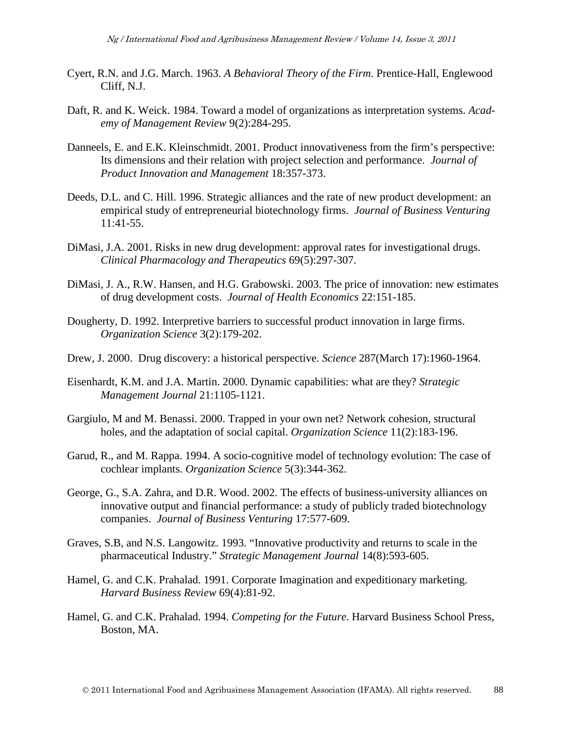- Cyert, R.N. and J.G. March. 1963. *A Behavioral Theory of the Firm*. Prentice-Hall, Englewood Cliff, N.J.
- Daft, R. and K. Weick. 1984. Toward a model of organizations as interpretation systems. *Academy of Management Review* 9(2):284-295.
- Danneels, E. and E.K. Kleinschmidt. 2001. Product innovativeness from the firm's perspective: Its dimensions and their relation with project selection and performance. *Journal of Product Innovation and Management* 18:357-373.
- Deeds, D.L. and C. Hill. 1996. Strategic alliances and the rate of new product development: an empirical study of entrepreneurial biotechnology firms. *Journal of Business Venturing* 11:41-55.
- DiMasi, J.A. 2001. Risks in new drug development: approval rates for investigational drugs. *Clinical Pharmacology and Therapeutics* 69(5):297-307.
- DiMasi, J. A., R.W. Hansen, and H.G. Grabowski. 2003. The price of innovation: new estimates of drug development costs. *Journal of Health Economics* 22:151-185.
- Dougherty, D. 1992. Interpretive barriers to successful product innovation in large firms. *Organization Science* 3(2):179-202.
- Drew, J. 2000. Drug discovery: a historical perspective. *Science* 287(March 17):1960-1964.
- Eisenhardt, K.M. and J.A. Martin. 2000. Dynamic capabilities: what are they? *Strategic Management Journal* 21:1105-1121.
- Gargiulo, M and M. Benassi. 2000. Trapped in your own net? Network cohesion, structural holes, and the adaptation of social capital. *Organization Science* 11(2):183-196.
- Garud, R., and M. Rappa. 1994. A socio-cognitive model of technology evolution: The case of cochlear implants. *Organization Science* 5(3):344-362.
- George, G., S.A. Zahra, and D.R. Wood. 2002. The effects of business-university alliances on innovative output and financial performance: a study of publicly traded biotechnology companies. *Journal of Business Venturing* 17:577-609.
- Graves, S.B, and N.S. Langowitz. 1993. "Innovative productivity and returns to scale in the pharmaceutical Industry." *Strategic Management Journal* 14(8):593-605.
- Hamel, G. and C.K. Prahalad. 1991. Corporate Imagination and expeditionary marketing. *Harvard Business Review* 69(4):81-92.
- Hamel, G. and C.K. Prahalad. 1994. *Competing for the Future*. Harvard Business School Press, Boston, MA.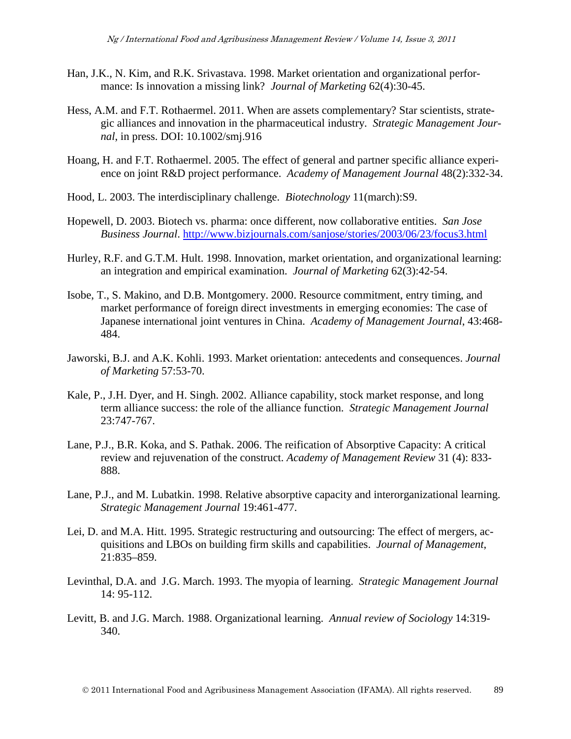- Han, J.K., N. Kim, and R.K. Srivastava. 1998. Market orientation and organizational performance: Is innovation a missing link? *Journal of Marketing* 62(4):30-45.
- Hess, A.M. and F.T. Rothaermel. 2011. When are assets complementary? Star scientists, strategic alliances and innovation in the pharmaceutical industry. *Strategic Management Journal*, in press. DOI: 10.1002/smj.916
- Hoang, H. and F.T. Rothaermel. 2005. The effect of general and partner specific alliance experience on joint R&D project performance. *Academy of Management Journal* 48(2):332-34.
- Hood, L. 2003. The interdisciplinary challenge. *Biotechnology* 11(march):S9.
- Hopewell, D. 2003. Biotech vs. pharma: once different, now collaborative entities. *San Jose Business Journal*.<http://www.bizjournals.com/sanjose/stories/2003/06/23/focus3.html>
- Hurley, R.F. and G.T.M. Hult. 1998. Innovation, market orientation, and organizational learning: an integration and empirical examination. *Journal of Marketing* 62(3):42-54.
- Isobe, T., S. Makino, and D.B. Montgomery. 2000. Resource commitment, entry timing, and market performance of foreign direct investments in emerging economies: The case of Japanese international joint ventures in China. *Academy of Management Journal*, 43:468- 484.
- Jaworski, B.J. and A.K. Kohli. 1993. Market orientation: antecedents and consequences. *Journal of Marketing* 57:53-70.
- Kale, P., J.H. Dyer, and H. Singh. 2002. Alliance capability, stock market response, and long term alliance success: the role of the alliance function. *Strategic Management Journal* 23:747-767.
- Lane, P.J., B.R. Koka, and S. Pathak. 2006. The reification of Absorptive Capacity: A critical review and rejuvenation of the construct. *Academy of Management Review* 31 (4): 833- 888.
- Lane, P.J., and M. Lubatkin. 1998. Relative absorptive capacity and interorganizational learning. *Strategic Management Journal* 19:461-477.
- Lei, D. and M.A. Hitt. 1995. Strategic restructuring and outsourcing: The effect of mergers, acquisitions and LBOs on building firm skills and capabilities. *Journal of Management*, 21:835–859.
- Levinthal, D.A. and J.G. March. 1993. The myopia of learning. *Strategic Management Journal* 14: 95-112.
- Levitt, B. and J.G. March. 1988. Organizational learning. *Annual review of Sociology* 14:319- 340.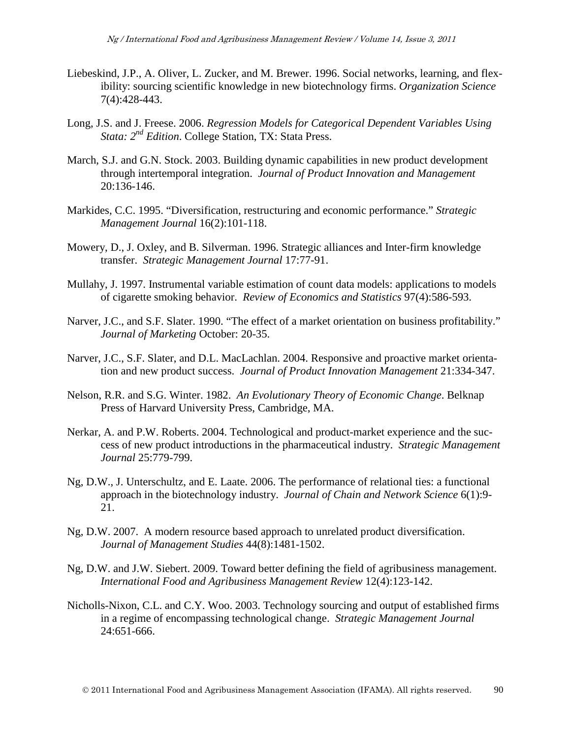- Liebeskind, J.P., A. Oliver, L. Zucker, and M. Brewer. 1996. Social networks, learning, and flexibility: sourcing scientific knowledge in new biotechnology firms. *Organization Science* 7(4):428-443.
- Long, J.S. and J. Freese. 2006. *Regression Models for Categorical Dependent Variables Using Stata: 2nd Edition*. College Station, TX: Stata Press.
- March, S.J. and G.N. Stock. 2003. Building dynamic capabilities in new product development through intertemporal integration. *Journal of Product Innovation and Management* 20:136-146.
- Markides, C.C. 1995. "Diversification, restructuring and economic performance." *Strategic Management Journal* 16(2):101-118.
- Mowery, D., J. Oxley, and B. Silverman. 1996. Strategic alliances and Inter-firm knowledge transfer. *Strategic Management Journal* 17:77-91.
- Mullahy, J. 1997. Instrumental variable estimation of count data models: applications to models of cigarette smoking behavior. *Review of Economics and Statistics* 97(4):586-593.
- Narver, J.C., and S.F. Slater. 1990. "The effect of a market orientation on business profitability." *Journal of Marketing* October: 20-35.
- Narver, J.C., S.F. Slater, and D.L. MacLachlan. 2004. Responsive and proactive market orientation and new product success. *Journal of Product Innovation Management* 21:334-347.
- Nelson, R.R. and S.G. Winter. 1982. *An Evolutionary Theory of Economic Change*. Belknap Press of Harvard University Press, Cambridge, MA.
- Nerkar, A. and P.W. Roberts. 2004. Technological and product-market experience and the success of new product introductions in the pharmaceutical industry. *Strategic Management Journal* 25:779-799.
- Ng, D.W., J. Unterschultz, and E. Laate. 2006. The performance of relational ties: a functional approach in the biotechnology industry. *Journal of Chain and Network Science* 6(1):9- 21.
- Ng, D.W. 2007. A modern resource based approach to unrelated product diversification. *Journal of Management Studies* 44(8):1481-1502.
- Ng, D.W. and J.W. Siebert. 2009. Toward better defining the field of agribusiness management. *International Food and Agribusiness Management Review* 12(4):123-142.
- Nicholls-Nixon, C.L. and C.Y. Woo. 2003. Technology sourcing and output of established firms in a regime of encompassing technological change. *Strategic Management Journal* 24:651-666.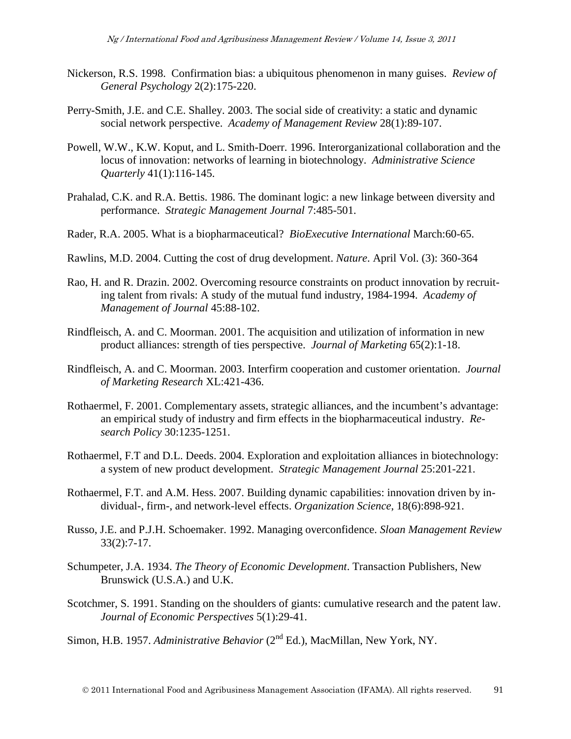- Nickerson, R.S. 1998. Confirmation bias: a ubiquitous phenomenon in many guises. *Review of General Psychology* 2(2):175-220.
- Perry-Smith, J.E. and C.E. Shalley. 2003. The social side of creativity: a static and dynamic social network perspective. *Academy of Management Review* 28(1):89-107.
- Powell, W.W., K.W. Koput, and L. Smith-Doerr. 1996. Interorganizational collaboration and the locus of innovation: networks of learning in biotechnology. *Administrative Science Quarterly* 41(1):116-145.
- Prahalad, C.K. and R.A. Bettis. 1986. The dominant logic: a new linkage between diversity and performance. *Strategic Management Journal* 7:485-501.
- Rader, R.A. 2005. What is a biopharmaceutical? *BioExecutive International* March:60-65.
- Rawlins, M.D. 2004. Cutting the cost of drug development. *Nature*. April Vol. (3): 360-364
- Rao, H. and R. Drazin. 2002. Overcoming resource constraints on product innovation by recruiting talent from rivals: A study of the mutual fund industry, 1984-1994. *Academy of Management of Journal* 45:88-102.
- Rindfleisch, A. and C. Moorman. 2001. The acquisition and utilization of information in new product alliances: strength of ties perspective. *Journal of Marketing* 65(2):1-18.
- Rindfleisch, A. and C. Moorman. 2003. Interfirm cooperation and customer orientation. *Journal of Marketing Research* XL:421-436.
- Rothaermel, F. 2001. Complementary assets, strategic alliances, and the incumbent's advantage: an empirical study of industry and firm effects in the biopharmaceutical industry. *Research Policy* 30:1235-1251.
- Rothaermel, F.T and D.L. Deeds. 2004. Exploration and exploitation alliances in biotechnology: a system of new product development. *Strategic Management Journal* 25:201-221.
- Rothaermel, F.T. and A.M. Hess. 2007. Building dynamic capabilities: innovation driven by individual-, firm-, and network-level effects. *Organization Science*, 18(6):898-921.
- Russo, J.E. and P.J.H. Schoemaker. 1992. Managing overconfidence. *Sloan Management Review* 33(2):7-17.
- Schumpeter, J.A. 1934. *The Theory of Economic Development*. Transaction Publishers, New Brunswick (U.S.A.) and U.K.
- Scotchmer, S. 1991. Standing on the shoulders of giants: cumulative research and the patent law. *Journal of Economic Perspectives* 5(1):29-41.
- Simon, H.B. 1957. *Administrative Behavior* (2<sup>nd</sup> Ed.), MacMillan, New York, NY.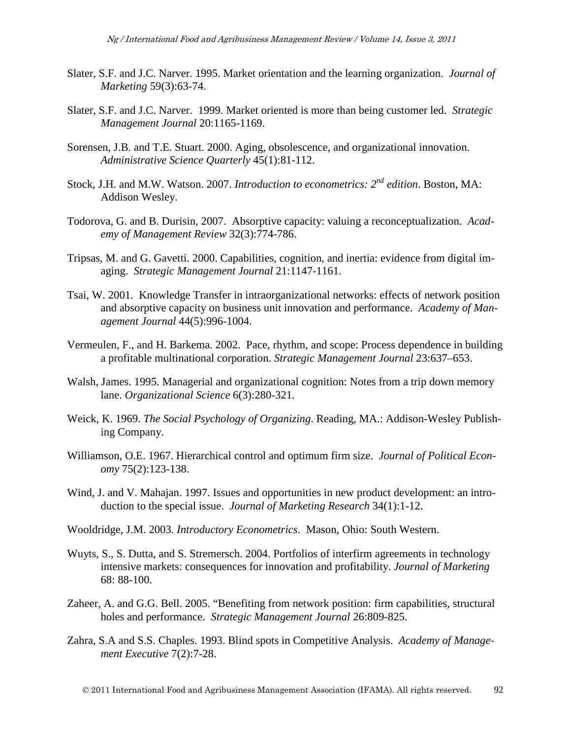- Slater, S.F. and J.C. Narver. 1995. Market orientation and the learning organization. *Journal of Marketing* 59(3):63-74.
- Slater, S.F. and J.C. Narver. 1999. Market oriented is more than being customer led. *Strategic Management Journal* 20:1165-1169.
- Sorensen, J.B. and T.E. Stuart. 2000. Aging, obsolescence, and organizational innovation. *Administrative Science Quarterly* 45(1):81-112.
- Stock, J.H. and M.W. Watson. 2007. *Introduction to econometrics: 2nd edition*. Boston, MA: Addison Wesley.
- Todorova, G. and B. Durisin, 2007. Absorptive capacity: valuing a reconceptualization. *Academy of Management Review* 32(3):774-786.
- Tripsas, M. and G. Gavetti. 2000. Capabilities, cognition, and inertia: evidence from digital imaging. *Strategic Management Journal* 21:1147-1161.
- Tsai, W. 2001. Knowledge Transfer in intraorganizational networks: effects of network position and absorptive capacity on business unit innovation and performance. *Academy of Management Journal* 44(5):996-1004.
- Vermeulen, F., and H. Barkema. 2002. Pace, rhythm, and scope: Process dependence in building a profitable multinational corporation. *Strategic Management Journal* 23:637–653.
- Walsh, James. 1995. Managerial and organizational cognition: Notes from a trip down memory lane. *Organizational Science* 6(3):280-321.
- Weick, K. 1969. *The Social Psychology of Organizing*. Reading, MA.: Addison-Wesley Publishing Company.
- Williamson, O.E. 1967. Hierarchical control and optimum firm size. *Journal of Political Economy* 75(2):123-138.
- Wind, J. and V. Mahajan. 1997. Issues and opportunities in new product development: an introduction to the special issue. *Journal of Marketing Research* 34(1):1-12.
- Wooldridge, J.M. 2003. *Introductory Econometrics*. Mason, Ohio: South Western.
- Wuyts, S., S. Dutta, and S. Stremersch. 2004. Portfolios of interfirm agreements in technology intensive markets: consequences for innovation and profitability. *Journal of Marketing* 68: 88-100.
- Zaheer, A. and G.G. Bell. 2005. "Benefiting from network position: firm capabilities, structural holes and performance. *Strategic Management Journal* 26:809-825.
- Zahra, S.A and S.S. Chaples. 1993. Blind spots in Competitive Analysis. *Academy of Management Executive* 7(2):7-28.